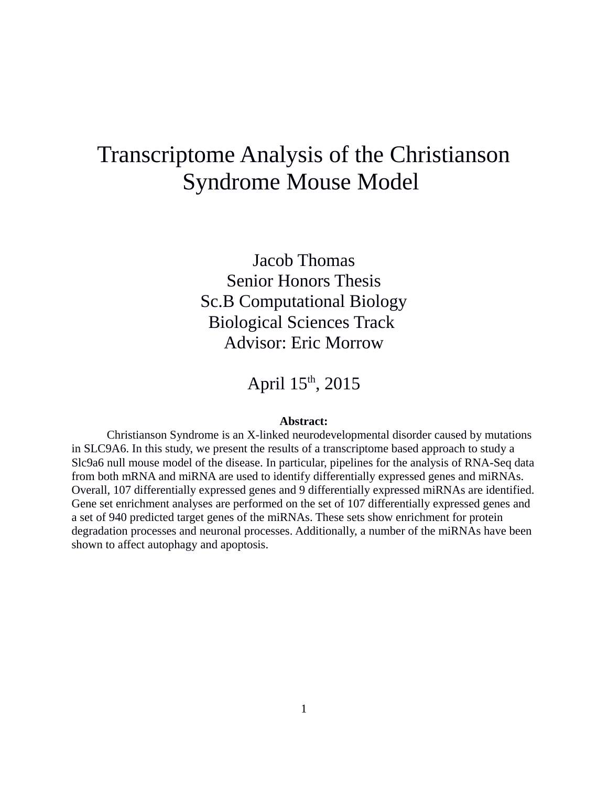# Transcriptome Analysis of the Christianson Syndrome Mouse Model

Jacob Thomas Senior Honors Thesis Sc.B Computational Biology Biological Sciences Track Advisor: Eric Morrow

April 15<sup>th</sup>, 2015

## **Abstract:**

Christianson Syndrome is an X-linked neurodevelopmental disorder caused by mutations in SLC9A6. In this study, we present the results of a transcriptome based approach to study a Slc9a6 null mouse model of the disease. In particular, pipelines for the analysis of RNA-Seq data from both mRNA and miRNA are used to identify differentially expressed genes and miRNAs. Overall, 107 differentially expressed genes and 9 differentially expressed miRNAs are identified. Gene set enrichment analyses are performed on the set of 107 differentially expressed genes and a set of 940 predicted target genes of the miRNAs. These sets show enrichment for protein degradation processes and neuronal processes. Additionally, a number of the miRNAs have been shown to affect autophagy and apoptosis.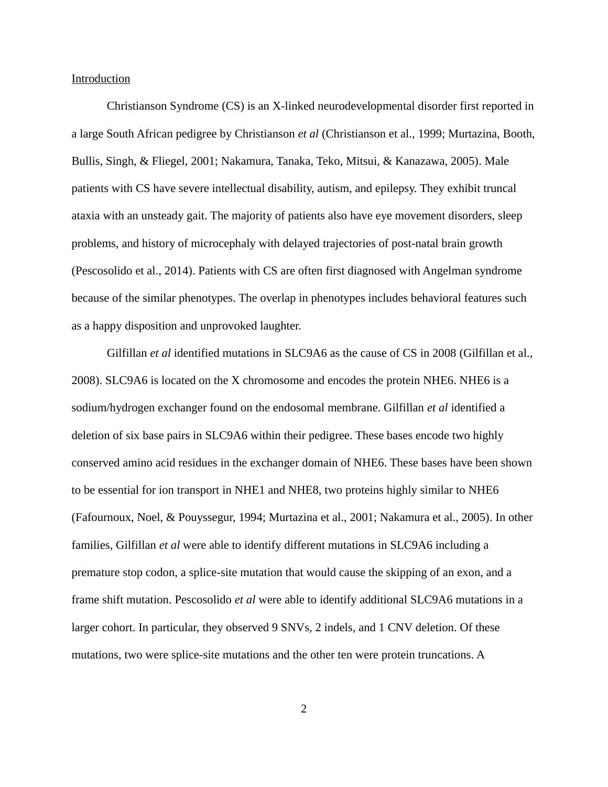## Introduction

Christianson Syndrome (CS) is an X-linked neurodevelopmental disorder first reported in a large South African pedigree by Christianson *et al* (Christianson et al., 1999; Murtazina, Booth, Bullis, Singh, & Fliegel, 2001; Nakamura, Tanaka, Teko, Mitsui, & Kanazawa, 2005). Male patients with CS have severe intellectual disability, autism, and epilepsy. They exhibit truncal ataxia with an unsteady gait. The majority of patients also have eye movement disorders, sleep problems, and history of microcephaly with delayed trajectories of post-natal brain growth (Pescosolido et al., 2014). Patients with CS are often first diagnosed with Angelman syndrome because of the similar phenotypes. The overlap in phenotypes includes behavioral features such as a happy disposition and unprovoked laughter.

Gilfillan *et al* identified mutations in SLC9A6 as the cause of CS in 2008 (Gilfillan et al., 2008). SLC9A6 is located on the X chromosome and encodes the protein NHE6. NHE6 is a sodium/hydrogen exchanger found on the endosomal membrane. Gilfillan *et al* identified a deletion of six base pairs in SLC9A6 within their pedigree. These bases encode two highly conserved amino acid residues in the exchanger domain of NHE6. These bases have been shown to be essential for ion transport in NHE1 and NHE8, two proteins highly similar to NHE6 (Fafournoux, Noel, & Pouyssegur, 1994; Murtazina et al., 2001; Nakamura et al., 2005). In other families, Gilfillan *et al* were able to identify different mutations in SLC9A6 including a premature stop codon, a splice-site mutation that would cause the skipping of an exon, and a frame shift mutation. Pescosolido *et al* were able to identify additional SLC9A6 mutations in a larger cohort. In particular, they observed 9 SNVs, 2 indels, and 1 CNV deletion. Of these mutations, two were splice-site mutations and the other ten were protein truncations. A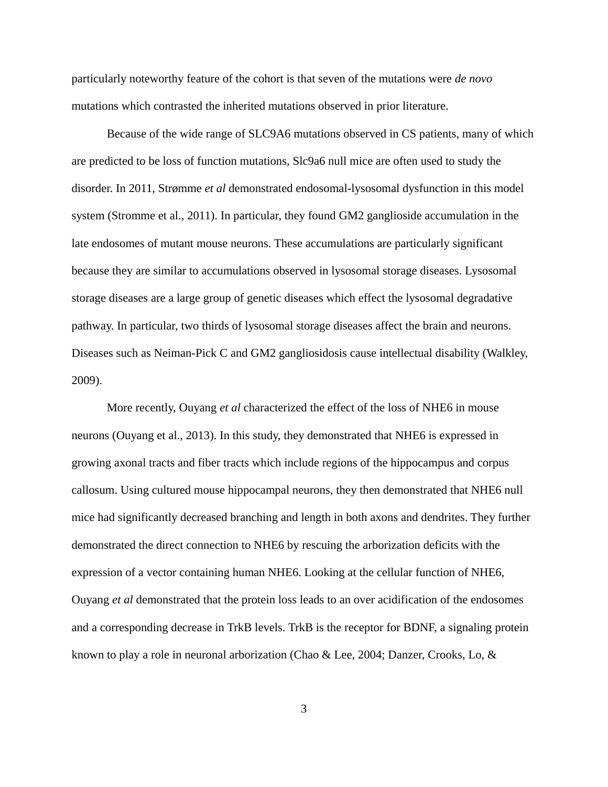particularly noteworthy feature of the cohort is that seven of the mutations were *de novo* mutations which contrasted the inherited mutations observed in prior literature.

Because of the wide range of SLC9A6 mutations observed in CS patients, many of which are predicted to be loss of function mutations, Slc9a6 null mice are often used to study the disorder. In 2011, Strømme *et al* demonstrated endosomal-lysosomal dysfunction in this model system (Stromme et al., 2011). In particular, they found GM2 ganglioside accumulation in the late endosomes of mutant mouse neurons. These accumulations are particularly significant because they are similar to accumulations observed in lysosomal storage diseases. Lysosomal storage diseases are a large group of genetic diseases which effect the lysosomal degradative pathway. In particular, two thirds of lysosomal storage diseases affect the brain and neurons. Diseases such as Neiman-Pick C and GM2 gangliosidosis cause intellectual disability (Walkley, 2009).

More recently, Ouyang *et al* characterized the effect of the loss of NHE6 in mouse neurons (Ouyang et al., 2013). In this study, they demonstrated that NHE6 is expressed in growing axonal tracts and fiber tracts which include regions of the hippocampus and corpus callosum. Using cultured mouse hippocampal neurons, they then demonstrated that NHE6 null mice had significantly decreased branching and length in both axons and dendrites. They further demonstrated the direct connection to NHE6 by rescuing the arborization deficits with the expression of a vector containing human NHE6. Looking at the cellular function of NHE6, Ouyang *et al* demonstrated that the protein loss leads to an over acidification of the endosomes and a corresponding decrease in TrkB levels. TrkB is the receptor for BDNF, a signaling protein known to play a role in neuronal arborization (Chao & Lee, 2004; Danzer, Crooks, Lo, &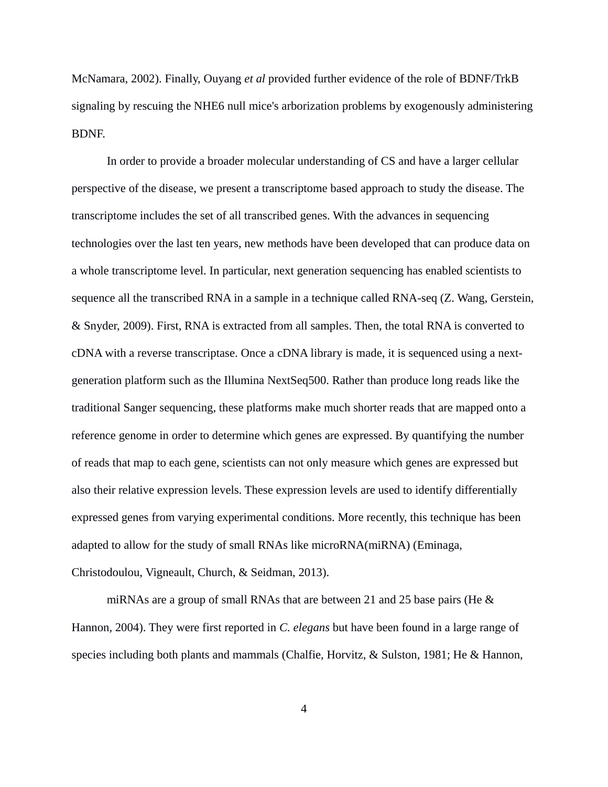McNamara, 2002). Finally, Ouyang *et al* provided further evidence of the role of BDNF/TrkB signaling by rescuing the NHE6 null mice's arborization problems by exogenously administering BDNF.

In order to provide a broader molecular understanding of CS and have a larger cellular perspective of the disease, we present a transcriptome based approach to study the disease. The transcriptome includes the set of all transcribed genes. With the advances in sequencing technologies over the last ten years, new methods have been developed that can produce data on a whole transcriptome level. In particular, next generation sequencing has enabled scientists to sequence all the transcribed RNA in a sample in a technique called RNA-seq (Z. Wang, Gerstein, & Snyder, 2009). First, RNA is extracted from all samples. Then, the total RNA is converted to cDNA with a reverse transcriptase. Once a cDNA library is made, it is sequenced using a nextgeneration platform such as the Illumina NextSeq500. Rather than produce long reads like the traditional Sanger sequencing, these platforms make much shorter reads that are mapped onto a reference genome in order to determine which genes are expressed. By quantifying the number of reads that map to each gene, scientists can not only measure which genes are expressed but also their relative expression levels. These expression levels are used to identify differentially expressed genes from varying experimental conditions. More recently, this technique has been adapted to allow for the study of small RNAs like microRNA(miRNA) (Eminaga, Christodoulou, Vigneault, Church, & Seidman, 2013).

miRNAs are a group of small RNAs that are between 21 and 25 base pairs (He & Hannon, 2004). They were first reported in *C. elegans* but have been found in a large range of species including both plants and mammals (Chalfie, Horvitz, & Sulston, 1981; He & Hannon,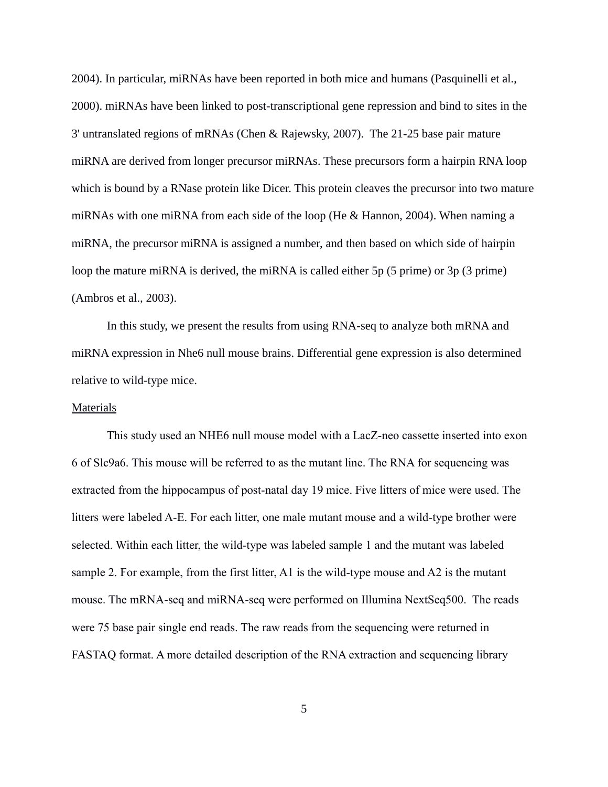2004). In particular, miRNAs have been reported in both mice and humans (Pasquinelli et al., 2000). miRNAs have been linked to post-transcriptional gene repression and bind to sites in the 3' untranslated regions of mRNAs (Chen & Rajewsky, 2007). The 21-25 base pair mature miRNA are derived from longer precursor miRNAs. These precursors form a hairpin RNA loop which is bound by a RNase protein like Dicer. This protein cleaves the precursor into two mature miRNAs with one miRNA from each side of the loop (He & Hannon, 2004). When naming a miRNA, the precursor miRNA is assigned a number, and then based on which side of hairpin loop the mature miRNA is derived, the miRNA is called either 5p (5 prime) or 3p (3 prime) (Ambros et al., 2003).

In this study, we present the results from using RNA-seq to analyze both mRNA and miRNA expression in Nhe6 null mouse brains. Differential gene expression is also determined relative to wild-type mice.

#### **Materials**

This study used an NHE6 null mouse model with a LacZ-neo cassette inserted into exon 6 of Slc9a6. This mouse will be referred to as the mutant line. The RNA for sequencing was extracted from the hippocampus of post-natal day 19 mice. Five litters of mice were used. The litters were labeled A-E. For each litter, one male mutant mouse and a wild-type brother were selected. Within each litter, the wild-type was labeled sample 1 and the mutant was labeled sample 2. For example, from the first litter, A1 is the wild-type mouse and A2 is the mutant mouse. The mRNA-seq and miRNA-seq were performed on Illumina NextSeq500. The reads were 75 base pair single end reads. The raw reads from the sequencing were returned in FASTAQ format. A more detailed description of the RNA extraction and sequencing library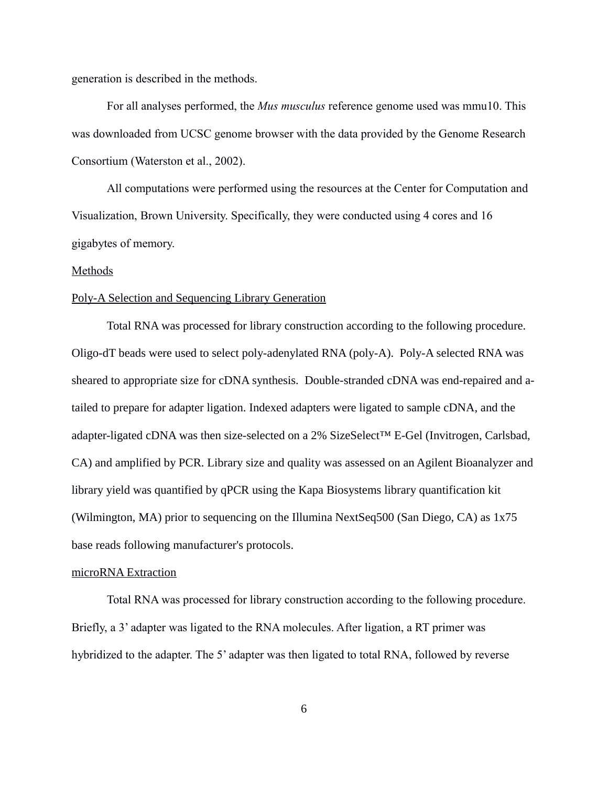generation is described in the methods.

For all analyses performed, the *Mus musculus* reference genome used was mmu10. This was downloaded from UCSC genome browser with the data provided by the Genome Research Consortium (Waterston et al., 2002).

All computations were performed using the resources at the Center for Computation and Visualization, Brown University. Specifically, they were conducted using 4 cores and 16 gigabytes of memory.

## Methods

### Poly-A Selection and Sequencing Library Generation

Total RNA was processed for library construction according to the following procedure. Oligo-dT beads were used to select poly-adenylated RNA (poly-A). Poly-A selected RNA was sheared to appropriate size for cDNA synthesis. Double-stranded cDNA was end-repaired and atailed to prepare for adapter ligation. Indexed adapters were ligated to sample cDNA, and the adapter-ligated cDNA was then size-selected on a 2% SizeSelect™ E-Gel (Invitrogen, Carlsbad, CA) and amplified by PCR. Library size and quality was assessed on an Agilent Bioanalyzer and library yield was quantified by qPCR using the Kapa Biosystems library quantification kit (Wilmington, MA) prior to sequencing on the Illumina NextSeq500 (San Diego, CA) as 1x75 base reads following manufacturer's protocols.

### microRNA Extraction

Total RNA was processed for library construction according to the following procedure. Briefly, a 3' adapter was ligated to the RNA molecules. After ligation, a RT primer was hybridized to the adapter. The 5' adapter was then ligated to total RNA, followed by reverse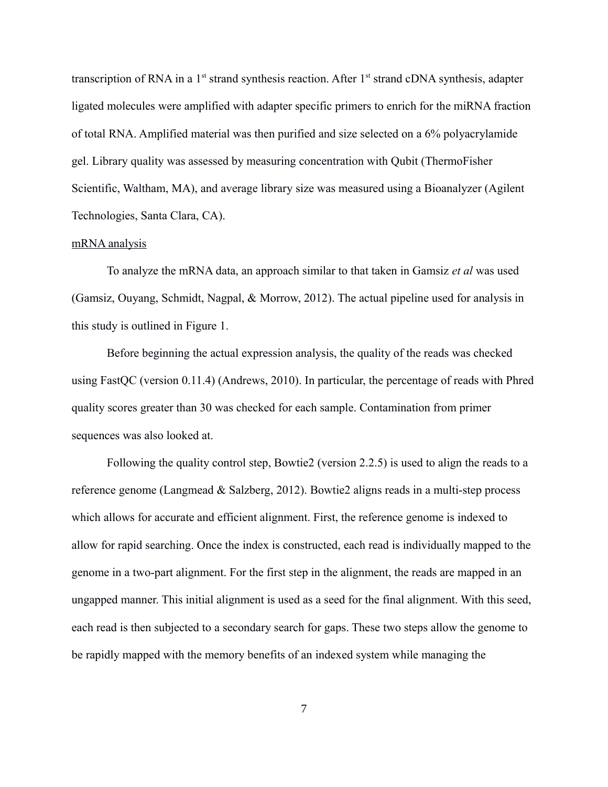transcription of RNA in a  $1<sup>st</sup>$  strand synthesis reaction. After  $1<sup>st</sup>$  strand cDNA synthesis, adapter ligated molecules were amplified with adapter specific primers to enrich for the miRNA fraction of total RNA. Amplified material was then purified and size selected on a 6% polyacrylamide gel. Library quality was assessed by measuring concentration with Qubit (ThermoFisher Scientific, Waltham, MA), and average library size was measured using a Bioanalyzer (Agilent Technologies, Santa Clara, CA).

## mRNA analysis

To analyze the mRNA data, an approach similar to that taken in Gamsiz *et al* was used (Gamsiz, Ouyang, Schmidt, Nagpal, & Morrow, 2012). The actual pipeline used for analysis in this study is outlined in Figure 1.

Before beginning the actual expression analysis, the quality of the reads was checked using FastQC (version 0.11.4) (Andrews, 2010). In particular, the percentage of reads with Phred quality scores greater than 30 was checked for each sample. Contamination from primer sequences was also looked at.

Following the quality control step, Bowtie2 (version 2.2.5) is used to align the reads to a reference genome (Langmead & Salzberg, 2012). Bowtie2 aligns reads in a multi-step process which allows for accurate and efficient alignment. First, the reference genome is indexed to allow for rapid searching. Once the index is constructed, each read is individually mapped to the genome in a two-part alignment. For the first step in the alignment, the reads are mapped in an ungapped manner. This initial alignment is used as a seed for the final alignment. With this seed, each read is then subjected to a secondary search for gaps. These two steps allow the genome to be rapidly mapped with the memory benefits of an indexed system while managing the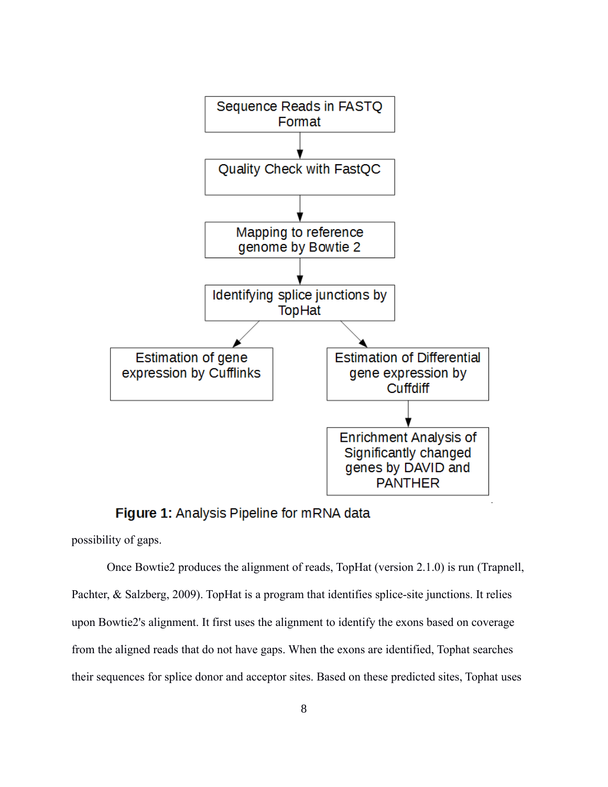

Figure 1: Analysis Pipeline for mRNA data

possibility of gaps.

Once Bowtie2 produces the alignment of reads, TopHat (version 2.1.0) is run (Trapnell, Pachter, & Salzberg, 2009). TopHat is a program that identifies splice-site junctions. It relies upon Bowtie2's alignment. It first uses the alignment to identify the exons based on coverage from the aligned reads that do not have gaps. When the exons are identified, Tophat searches their sequences for splice donor and acceptor sites. Based on these predicted sites, Tophat uses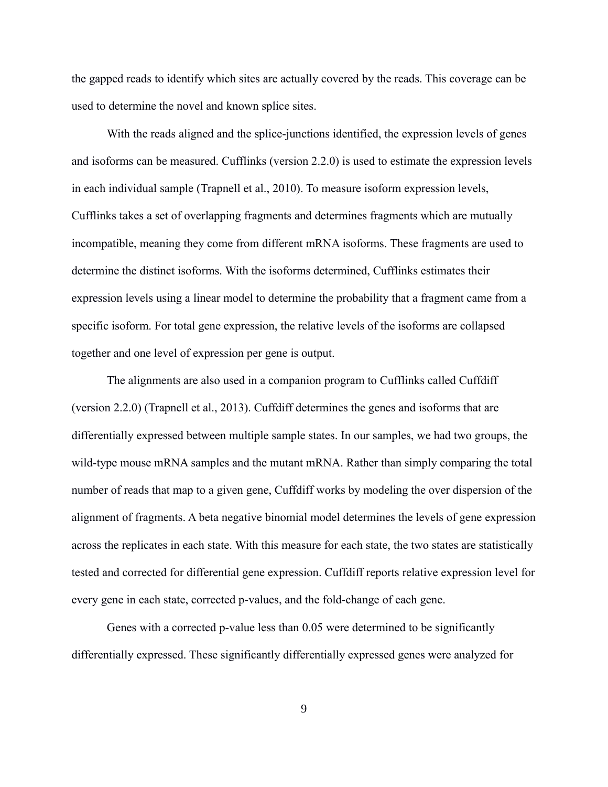the gapped reads to identify which sites are actually covered by the reads. This coverage can be used to determine the novel and known splice sites.

With the reads aligned and the splice-junctions identified, the expression levels of genes and isoforms can be measured. Cufflinks (version 2.2.0) is used to estimate the expression levels in each individual sample (Trapnell et al., 2010). To measure isoform expression levels, Cufflinks takes a set of overlapping fragments and determines fragments which are mutually incompatible, meaning they come from different mRNA isoforms. These fragments are used to determine the distinct isoforms. With the isoforms determined, Cufflinks estimates their expression levels using a linear model to determine the probability that a fragment came from a specific isoform. For total gene expression, the relative levels of the isoforms are collapsed together and one level of expression per gene is output.

The alignments are also used in a companion program to Cufflinks called Cuffdiff (version 2.2.0) (Trapnell et al., 2013). Cuffdiff determines the genes and isoforms that are differentially expressed between multiple sample states. In our samples, we had two groups, the wild-type mouse mRNA samples and the mutant mRNA. Rather than simply comparing the total number of reads that map to a given gene, Cuffdiff works by modeling the over dispersion of the alignment of fragments. A beta negative binomial model determines the levels of gene expression across the replicates in each state. With this measure for each state, the two states are statistically tested and corrected for differential gene expression. Cuffdiff reports relative expression level for every gene in each state, corrected p-values, and the fold-change of each gene.

Genes with a corrected p-value less than 0.05 were determined to be significantly differentially expressed. These significantly differentially expressed genes were analyzed for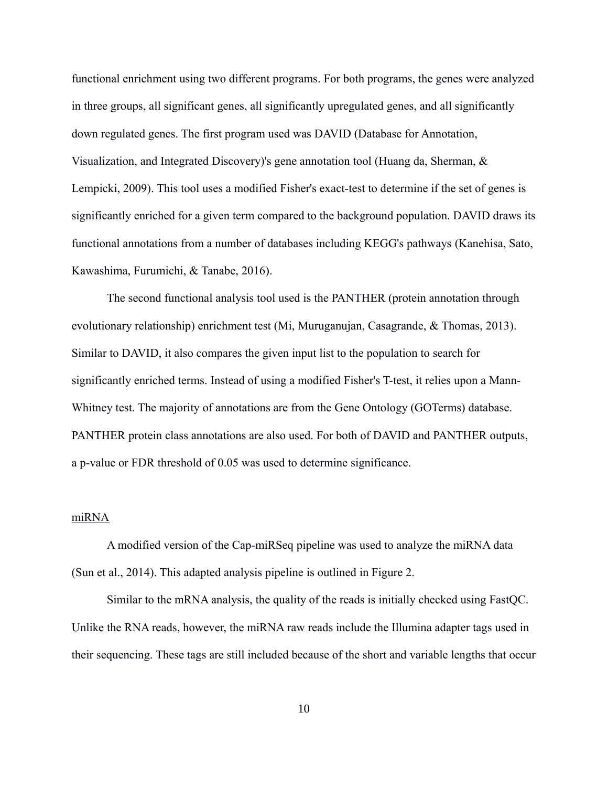functional enrichment using two different programs. For both programs, the genes were analyzed in three groups, all significant genes, all significantly upregulated genes, and all significantly down regulated genes. The first program used was DAVID (Database for Annotation, Visualization, and Integrated Discovery)'s gene annotation tool (Huang da, Sherman, & Lempicki, 2009). This tool uses a modified Fisher's exact-test to determine if the set of genes is significantly enriched for a given term compared to the background population. DAVID draws its functional annotations from a number of databases including KEGG's pathways (Kanehisa, Sato, Kawashima, Furumichi, & Tanabe, 2016).

The second functional analysis tool used is the PANTHER (protein annotation through evolutionary relationship) enrichment test (Mi, Muruganujan, Casagrande, & Thomas, 2013). Similar to DAVID, it also compares the given input list to the population to search for significantly enriched terms. Instead of using a modified Fisher's T-test, it relies upon a Mann-Whitney test. The majority of annotations are from the Gene Ontology (GOTerms) database. PANTHER protein class annotations are also used. For both of DAVID and PANTHER outputs, a p-value or FDR threshold of 0.05 was used to determine significance.

## miRNA

A modified version of the Cap-miRSeq pipeline was used to analyze the miRNA data (Sun et al., 2014). This adapted analysis pipeline is outlined in Figure 2.

Similar to the mRNA analysis, the quality of the reads is initially checked using FastQC. Unlike the RNA reads, however, the miRNA raw reads include the Illumina adapter tags used in their sequencing. These tags are still included because of the short and variable lengths that occur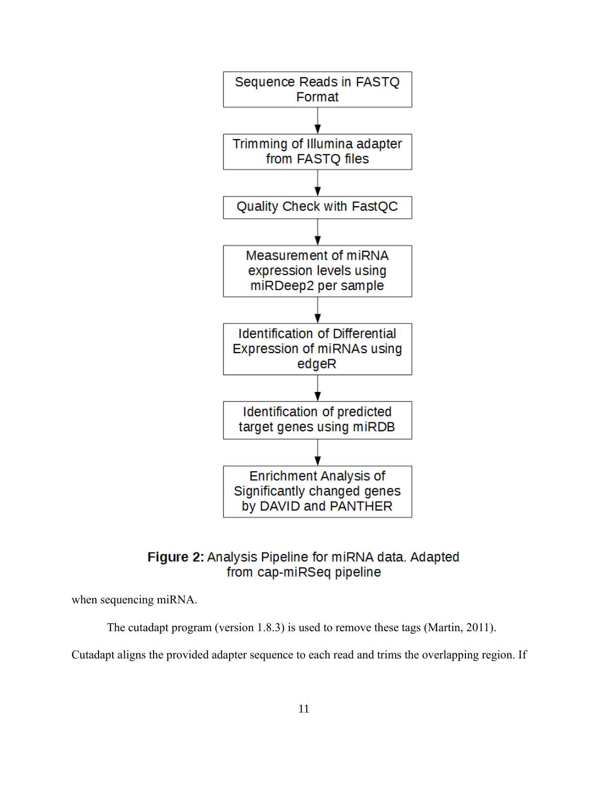

## **Figure 2:** Analysis Pipeline for miRNA data. Adapted from cap-miRSeq pipeline

when sequencing miRNA.

The cutadapt program (version 1.8.3) is used to remove these tags (Martin, 2011).

Cutadapt aligns the provided adapter sequence to each read and trims the overlapping region. If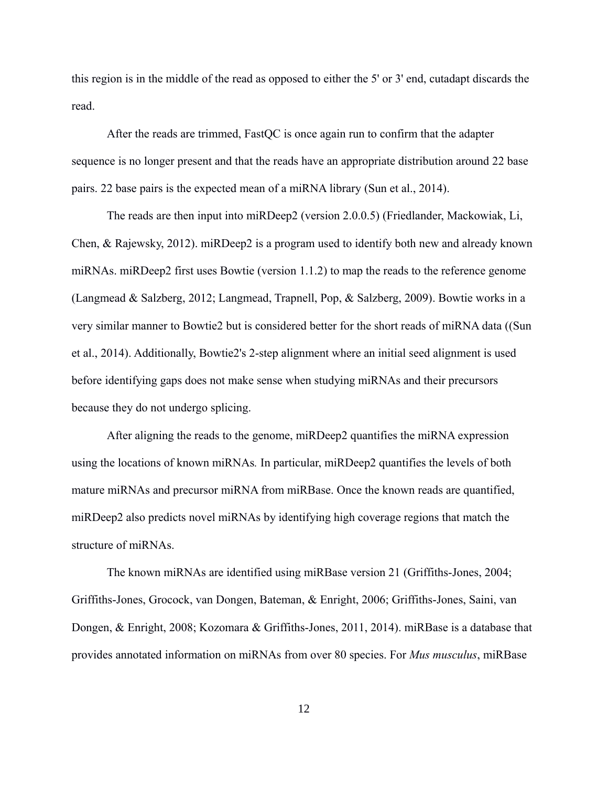this region is in the middle of the read as opposed to either the 5' or 3' end, cutadapt discards the read.

After the reads are trimmed, FastQC is once again run to confirm that the adapter sequence is no longer present and that the reads have an appropriate distribution around 22 base pairs. 22 base pairs is the expected mean of a miRNA library (Sun et al., 2014).

The reads are then input into miRDeep2 (version 2.0.0.5) (Friedlander, Mackowiak, Li, Chen, & Rajewsky, 2012). miRDeep2 is a program used to identify both new and already known miRNAs. miRDeep2 first uses Bowtie (version 1.1.2) to map the reads to the reference genome (Langmead & Salzberg, 2012; Langmead, Trapnell, Pop, & Salzberg, 2009). Bowtie works in a very similar manner to Bowtie2 but is considered better for the short reads of miRNA data ((Sun et al., 2014). Additionally, Bowtie2's 2-step alignment where an initial seed alignment is used before identifying gaps does not make sense when studying miRNAs and their precursors because they do not undergo splicing.

After aligning the reads to the genome, miRDeep2 quantifies the miRNA expression using the locations of known miRNAs*.* In particular, miRDeep2 quantifies the levels of both mature miRNAs and precursor miRNA from miRBase. Once the known reads are quantified, miRDeep2 also predicts novel miRNAs by identifying high coverage regions that match the structure of miRNAs.

The known miRNAs are identified using miRBase version 21 (Griffiths-Jones, 2004; Griffiths-Jones, Grocock, van Dongen, Bateman, & Enright, 2006; Griffiths-Jones, Saini, van Dongen, & Enright, 2008; Kozomara & Griffiths-Jones, 2011, 2014). miRBase is a database that provides annotated information on miRNAs from over 80 species. For *Mus musculus*, miRBase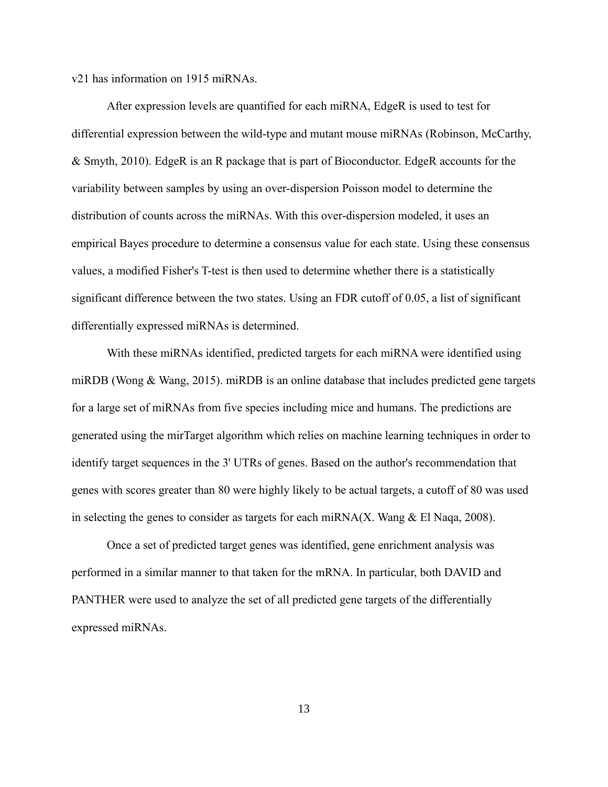v21 has information on 1915 miRNAs.

After expression levels are quantified for each miRNA, EdgeR is used to test for differential expression between the wild-type and mutant mouse miRNAs (Robinson, McCarthy, & Smyth, 2010). EdgeR is an R package that is part of Bioconductor. EdgeR accounts for the variability between samples by using an over-dispersion Poisson model to determine the distribution of counts across the miRNAs. With this over-dispersion modeled, it uses an empirical Bayes procedure to determine a consensus value for each state. Using these consensus values, a modified Fisher's T-test is then used to determine whether there is a statistically significant difference between the two states. Using an FDR cutoff of 0.05, a list of significant differentially expressed miRNAs is determined.

With these miRNAs identified, predicted targets for each miRNA were identified using miRDB (Wong & Wang, 2015). miRDB is an online database that includes predicted gene targets for a large set of miRNAs from five species including mice and humans. The predictions are generated using the mirTarget algorithm which relies on machine learning techniques in order to identify target sequences in the 3' UTRs of genes. Based on the author's recommendation that genes with scores greater than 80 were highly likely to be actual targets, a cutoff of 80 was used in selecting the genes to consider as targets for each miRNA(X. Wang  $& El$  Naqa, 2008).

Once a set of predicted target genes was identified, gene enrichment analysis was performed in a similar manner to that taken for the mRNA. In particular, both DAVID and PANTHER were used to analyze the set of all predicted gene targets of the differentially expressed miRNAs.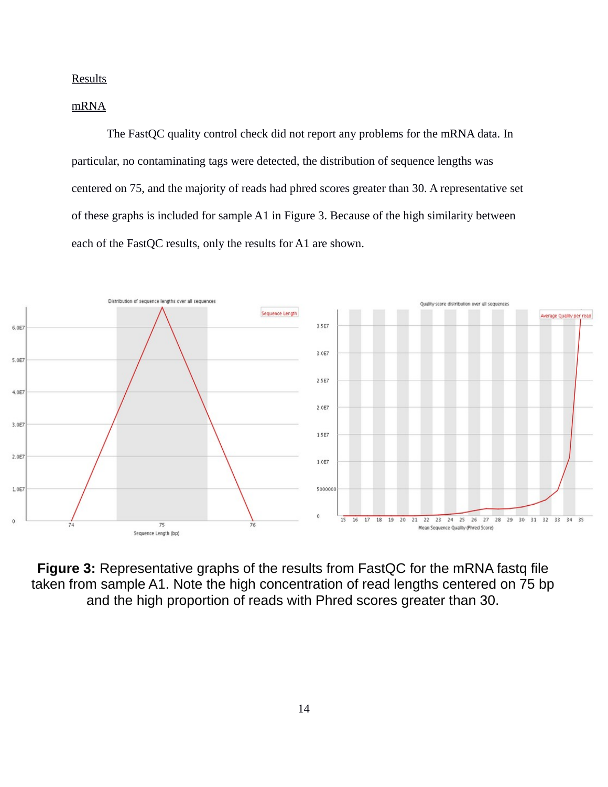**Results** 

## mRNA

The FastQC quality control check did not report any problems for the mRNA data. In particular, no contaminating tags were detected, the distribution of sequence lengths was centered on 75, and the majority of reads had phred scores greater than 30. A representative set of these graphs is included for sample A1 in Figure 3. Because of the high similarity between each of the FastQC results, only the results for A1 are shown.



**Figure 3:** Representative graphs of the results from FastQC for the mRNA fastq file taken from sample A1. Note the high concentration of read lengths centered on 75 bp and the high proportion of reads with Phred scores greater than 30.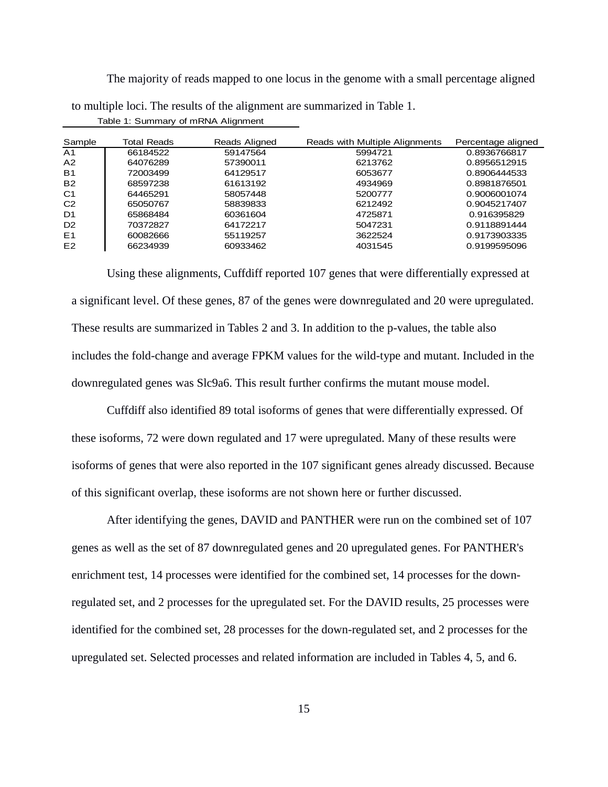The majority of reads mapped to one locus in the genome with a small percentage aligned to multiple loci. The results of the alignment are summarized in Table 1. Table 1: Summary of mRNA Alignment

| Sample         | Total Reads | Reads Aligned | Reads with Multiple Alignments | Percentage aligned |
|----------------|-------------|---------------|--------------------------------|--------------------|
| A <sub>1</sub> | 66184522    | 59147564      | 5994721                        | 0.8936766817       |
| A <sub>2</sub> | 64076289    | 57390011      | 6213762                        | 0.8956512915       |
| <b>B1</b>      | 72003499    | 64129517      | 6053677                        | 0.8906444533       |
| <b>B2</b>      | 68597238    | 61613192      | 4934969                        | 0.8981876501       |
| C1             | 64465291    | 58057448      | 5200777                        | 0.9006001074       |
| C <sub>2</sub> | 65050767    | 58839833      | 6212492                        | 0.9045217407       |
| D <sub>1</sub> | 65868484    | 60361604      | 4725871                        | 0.916395829        |
| D <sub>2</sub> | 70372827    | 64172217      | 5047231                        | 0.9118891444       |
| E1             | 60082666    | 55119257      | 3622524                        | 0.9173903335       |
| E <sub>2</sub> | 66234939    | 60933462      | 4031545                        | 0.9199595096       |

Using these alignments, Cuffdiff reported 107 genes that were differentially expressed at a significant level. Of these genes, 87 of the genes were downregulated and 20 were upregulated. These results are summarized in Tables 2 and 3. In addition to the p-values, the table also includes the fold-change and average FPKM values for the wild-type and mutant. Included in the downregulated genes was Slc9a6. This result further confirms the mutant mouse model.

Cuffdiff also identified 89 total isoforms of genes that were differentially expressed. Of these isoforms, 72 were down regulated and 17 were upregulated. Many of these results were isoforms of genes that were also reported in the 107 significant genes already discussed. Because of this significant overlap, these isoforms are not shown here or further discussed.

After identifying the genes, DAVID and PANTHER were run on the combined set of 107 genes as well as the set of 87 downregulated genes and 20 upregulated genes. For PANTHER's enrichment test, 14 processes were identified for the combined set, 14 processes for the downregulated set, and 2 processes for the upregulated set. For the DAVID results, 25 processes were identified for the combined set, 28 processes for the down-regulated set, and 2 processes for the upregulated set. Selected processes and related information are included in Tables 4, 5, and 6.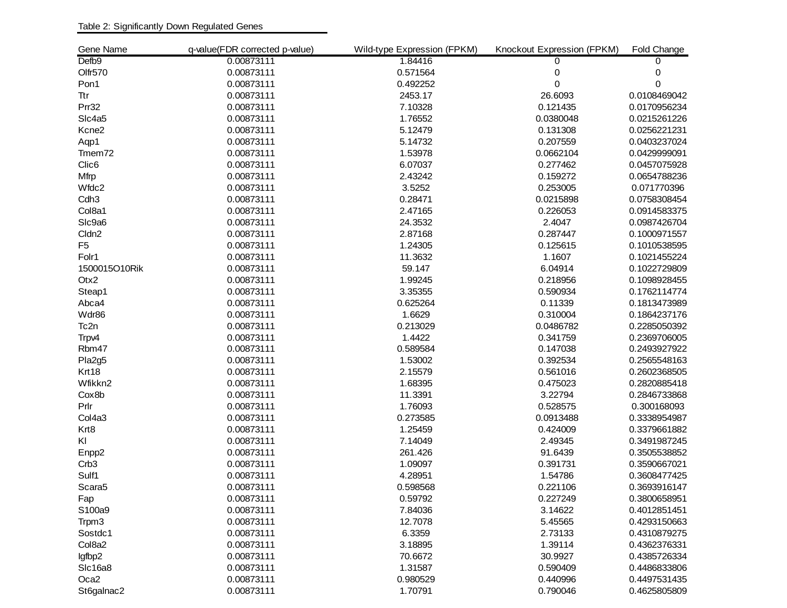| Gene Name          | q-value(FDR corrected p-value) | Wild-type Expression (FPKM) | Knockout Expression (FPKM) | Fold Change  |
|--------------------|--------------------------------|-----------------------------|----------------------------|--------------|
| Defb9              | 0.00873111                     | 1.84416                     | $\Omega$                   | $\Omega$     |
| Olfr570            | 0.00873111                     | 0.571564                    | 0                          | 0            |
| Pon1               | 0.00873111                     | 0.492252                    | 0                          | 0            |
| Ttr                | 0.00873111                     | 2453.17                     | 26.6093                    | 0.0108469042 |
| Prr32              | 0.00873111                     | 7.10328                     | 0.121435                   | 0.0170956234 |
| Slc4a5             | 0.00873111                     | 1.76552                     | 0.0380048                  | 0.0215261226 |
| Kcne2              | 0.00873111                     | 5.12479                     | 0.131308                   | 0.0256221231 |
| Aqp1               | 0.00873111                     | 5.14732                     | 0.207559                   | 0.0403237024 |
| Tmem72             | 0.00873111                     | 1.53978                     | 0.0662104                  | 0.0429999091 |
| Clic <sub>6</sub>  | 0.00873111                     | 6.07037                     | 0.277462                   | 0.0457075928 |
| Mfrp               | 0.00873111                     | 2.43242                     | 0.159272                   | 0.0654788236 |
| Wfdc2              | 0.00873111                     | 3.5252                      | 0.253005                   | 0.071770396  |
| Cdh <sub>3</sub>   | 0.00873111                     | 0.28471                     | 0.0215898                  | 0.0758308454 |
| Col8a1             | 0.00873111                     | 2.47165                     | 0.226053                   | 0.0914583375 |
| SIc9a6             | 0.00873111                     | 24.3532                     | 2.4047                     | 0.0987426704 |
| Cldn <sub>2</sub>  | 0.00873111                     | 2.87168                     | 0.287447                   | 0.1000971557 |
| F5                 | 0.00873111                     | 1.24305                     | 0.125615                   | 0.1010538595 |
| Folr1              | 0.00873111                     | 11.3632                     | 1.1607                     | 0.1021455224 |
| 1500015O10Rik      | 0.00873111                     | 59.147                      | 6.04914                    | 0.1022729809 |
| Otx2               | 0.00873111                     | 1.99245                     | 0.218956                   | 0.1098928455 |
| Steap1             | 0.00873111                     | 3.35355                     | 0.590934                   | 0.1762114774 |
| Abca4              | 0.00873111                     | 0.625264                    | 0.11339                    | 0.1813473989 |
| Wdr86              | 0.00873111                     | 1.6629                      | 0.310004                   | 0.1864237176 |
| Tc2n               | 0.00873111                     | 0.213029                    | 0.0486782                  | 0.2285050392 |
| Trpv4              | 0.00873111                     | 1.4422                      | 0.341759                   | 0.2369706005 |
| Rbm47              | 0.00873111                     | 0.589584                    | 0.147038                   | 0.2493927922 |
| Pla2g5             | 0.00873111                     | 1.53002                     | 0.392534                   | 0.2565548163 |
| Krt18              | 0.00873111                     | 2.15579                     | 0.561016                   | 0.2602368505 |
| Wfikkn2            | 0.00873111                     | 1.68395                     | 0.475023                   | 0.2820885418 |
| Cox8b              | 0.00873111                     | 11.3391                     | 3.22794                    | 0.2846733868 |
| Prlr               | 0.00873111                     | 1.76093                     | 0.528575                   | 0.300168093  |
| Col4a3             | 0.00873111                     | 0.273585                    | 0.0913488                  | 0.3338954987 |
| Krt8               | 0.00873111                     | 1.25459                     | 0.424009                   | 0.3379661882 |
| KI                 | 0.00873111                     | 7.14049                     | 2.49345                    | 0.3491987245 |
| Enpp <sub>2</sub>  | 0.00873111                     | 261.426                     | 91.6439                    | 0.3505538852 |
| Crb <sub>3</sub>   | 0.00873111                     | 1.09097                     | 0.391731                   | 0.3590667021 |
| Sulf1              | 0.00873111                     | 4.28951                     | 1.54786                    | 0.3608477425 |
| Scara <sub>5</sub> | 0.00873111                     | 0.598568                    | 0.221106                   | 0.3693916147 |
| Fap                | 0.00873111                     | 0.59792                     | 0.227249                   | 0.3800658951 |
| S100a9             | 0.00873111                     | 7.84036                     | 3.14622                    | 0.4012851451 |
| Trpm3              | 0.00873111                     | 12.7078                     | 5.45565                    | 0.4293150663 |
| Sostdc1            | 0.00873111                     | 6.3359                      | 2.73133                    | 0.4310879275 |
| Col8a2             | 0.00873111                     | 3.18895                     | 1.39114                    | 0.4362376331 |
| lgfbp2             | 0.00873111                     | 70.6672                     | 30.9927                    | 0.4385726334 |
| Slc16a8            | 0.00873111                     | 1.31587                     | 0.590409                   | 0.4486833806 |
| Oca2               | 0.00873111                     | 0.980529                    | 0.440996                   | 0.4497531435 |
| St6galnac2         | 0.00873111                     | 1.70791                     | 0.790046                   | 0.4625805809 |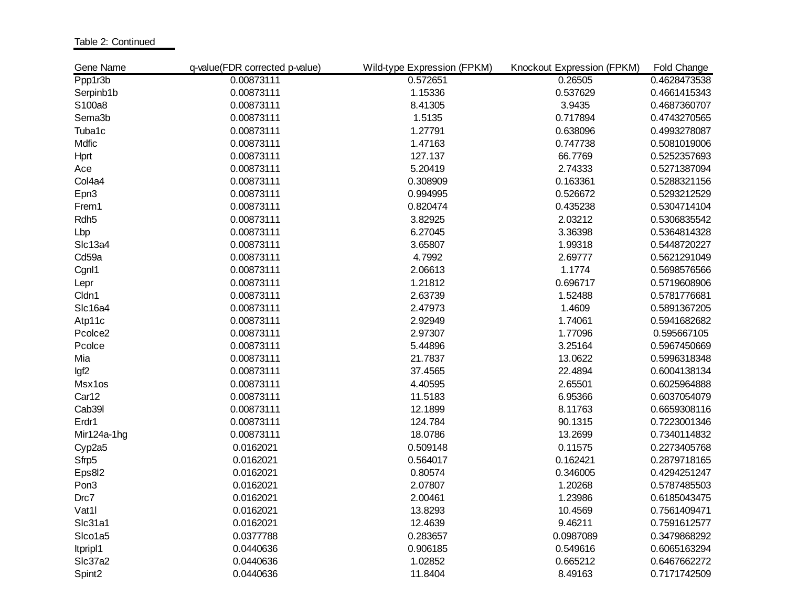Table 2: Continued

| Gene Name        | q-value(FDR corrected p-value) | Wild-type Expression (FPKM) | Knockout Expression (FPKM) | Fold Change  |
|------------------|--------------------------------|-----------------------------|----------------------------|--------------|
| Ppp1r3b          | 0.00873111                     | 0.572651                    | 0.26505                    | 0.4628473538 |
| Serpinb1b        | 0.00873111                     | 1.15336                     | 0.537629                   | 0.4661415343 |
| S100a8           | 0.00873111                     | 8.41305                     | 3.9435                     | 0.4687360707 |
| Sema3b           | 0.00873111                     | 1.5135                      | 0.717894                   | 0.4743270565 |
| Tuba1c           | 0.00873111                     | 1.27791                     | 0.638096                   | 0.4993278087 |
| Mdfic            | 0.00873111                     | 1.47163                     | 0.747738                   | 0.5081019006 |
| Hprt             | 0.00873111                     | 127.137                     | 66.7769                    | 0.5252357693 |
| Ace              | 0.00873111                     | 5.20419                     | 2.74333                    | 0.5271387094 |
| Col4a4           | 0.00873111                     | 0.308909                    | 0.163361                   | 0.5288321156 |
| Epn3             | 0.00873111                     | 0.994995                    | 0.526672                   | 0.5293212529 |
| Frem1            | 0.00873111                     | 0.820474                    | 0.435238                   | 0.5304714104 |
| Rdh <sub>5</sub> | 0.00873111                     | 3.82925                     | 2.03212                    | 0.5306835542 |
| Lbp              | 0.00873111                     | 6.27045                     | 3.36398                    | 0.5364814328 |
| Slc13a4          | 0.00873111                     | 3.65807                     | 1.99318                    | 0.5448720227 |
| Cd59a            | 0.00873111                     | 4.7992                      | 2.69777                    | 0.5621291049 |
| Cgnl1            | 0.00873111                     | 2.06613                     | 1.1774                     | 0.5698576566 |
| Lepr             | 0.00873111                     | 1.21812                     | 0.696717                   | 0.5719608906 |
| Cldn1            | 0.00873111                     | 2.63739                     | 1.52488                    | 0.5781776681 |
| Slc16a4          | 0.00873111                     | 2.47973                     | 1.4609                     | 0.5891367205 |
| Atp11c           | 0.00873111                     | 2.92949                     | 1.74061                    | 0.5941682682 |
| Pcolce2          | 0.00873111                     | 2.97307                     | 1.77096                    | 0.595667105  |
| Pcolce           | 0.00873111                     | 5.44896                     | 3.25164                    | 0.5967450669 |
| Mia              | 0.00873111                     | 21.7837                     | 13.0622                    | 0.5996318348 |
| lgf <sub>2</sub> | 0.00873111                     | 37.4565                     | 22.4894                    | 0.6004138134 |
| Msx1os           | 0.00873111                     | 4.40595                     | 2.65501                    | 0.6025964888 |
| Car12            | 0.00873111                     | 11.5183                     | 6.95366                    | 0.6037054079 |
| Cab39l           | 0.00873111                     | 12.1899                     | 8.11763                    | 0.6659308116 |
| Erdr1            | 0.00873111                     | 124.784                     | 90.1315                    | 0.7223001346 |
| Mir124a-1hg      | 0.00873111                     | 18.0786                     | 13.2699                    | 0.7340114832 |
| Cyp2a5           | 0.0162021                      | 0.509148                    | 0.11575                    | 0.2273405768 |
| Sfrp5            | 0.0162021                      | 0.564017                    | 0.162421                   | 0.2879718165 |
| Eps8l2           | 0.0162021                      | 0.80574                     | 0.346005                   | 0.4294251247 |
| Pon <sub>3</sub> | 0.0162021                      | 2.07807                     | 1.20268                    | 0.5787485503 |
| Drc7             | 0.0162021                      | 2.00461                     | 1.23986                    | 0.6185043475 |
| Vat1             | 0.0162021                      | 13.8293                     | 10.4569                    | 0.7561409471 |
| Slc31a1          | 0.0162021                      | 12.4639                     | 9.46211                    | 0.7591612577 |
| Slco1a5          | 0.0377788                      | 0.283657                    | 0.0987089                  | 0.3479868292 |
| Itpripl1         | 0.0440636                      | 0.906185                    | 0.549616                   | 0.6065163294 |
| Slc37a2          | 0.0440636                      | 1.02852                     | 0.665212                   | 0.6467662272 |
| Spint2           | 0.0440636                      | 11.8404                     | 8.49163                    | 0.7171742509 |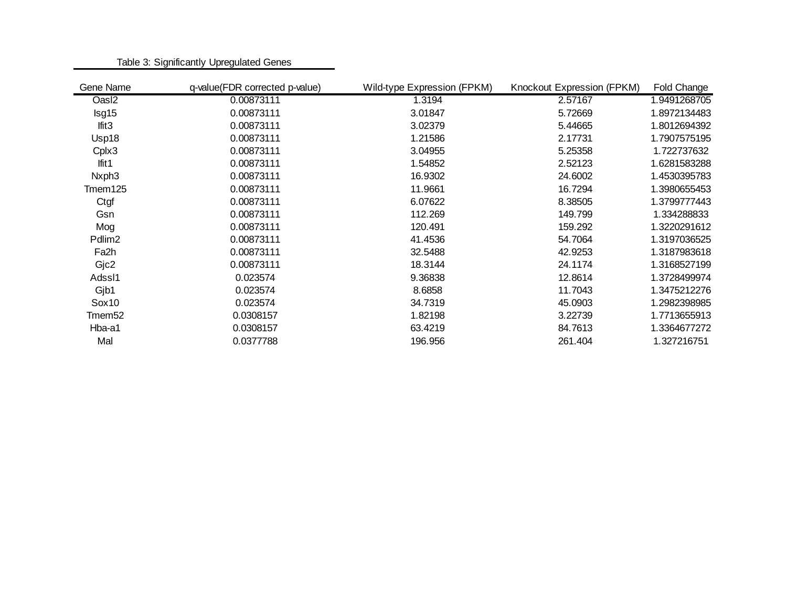| Gene Name          | q-value(FDR corrected p-value) | Wild-type Expression (FPKM) | Knockout Expression (FPKM) | Fold Change  |
|--------------------|--------------------------------|-----------------------------|----------------------------|--------------|
| Oas <sub>12</sub>  | 0.00873111                     | 1.3194                      | 2.57167                    | 1.9491268705 |
| Isg15              | 0.00873111                     | 3.01847                     | 5.72669                    | 1.8972134483 |
| lfit <sub>3</sub>  | 0.00873111                     | 3.02379                     | 5.44665                    | 1.8012694392 |
| Usp18              | 0.00873111                     | 1.21586                     | 2.17731                    | 1.7907575195 |
| Cplx3              | 0.00873111                     | 3.04955                     | 5.25358                    | 1.722737632  |
| Ifit $1$           | 0.00873111                     | 1.54852                     | 2.52123                    | 1.6281583288 |
| Nxph <sub>3</sub>  | 0.00873111                     | 16.9302                     | 24.6002                    | 1.4530395783 |
| $T$ mem $125$      | 0.00873111                     | 11.9661                     | 16.7294                    | 1.3980655453 |
| Ctgf               | 0.00873111                     | 6.07622                     | 8.38505                    | 1.3799777443 |
| Gsn                | 0.00873111                     | 112.269                     | 149.799                    | 1.334288833  |
| Mog                | 0.00873111                     | 120.491                     | 159.292                    | 1.3220291612 |
| Pdlim <sub>2</sub> | 0.00873111                     | 41.4536                     | 54.7064                    | 1.3197036525 |
| Fa2h               | 0.00873111                     | 32.5488                     | 42.9253                    | 1.3187983618 |
| Gjc2               | 0.00873111                     | 18.3144                     | 24.1174                    | 1.3168527199 |
| Adssl1             | 0.023574                       | 9.36838                     | 12.8614                    | 1.3728499974 |
| Gjb1               | 0.023574                       | 8.6858                      | 11.7043                    | 1.3475212276 |
| Sox10              | 0.023574                       | 34.7319                     | 45.0903                    | 1.2982398985 |
| Tmem <sub>52</sub> | 0.0308157                      | 1.82198                     | 3.22739                    | 1.7713655913 |
| Hba-a1             | 0.0308157                      | 63.4219                     | 84.7613                    | 1.3364677272 |
| Mal                | 0.0377788                      | 196.956                     | 261.404                    | 1.327216751  |
|                    |                                |                             |                            |              |

Table 3: Significantly Upregulated Genes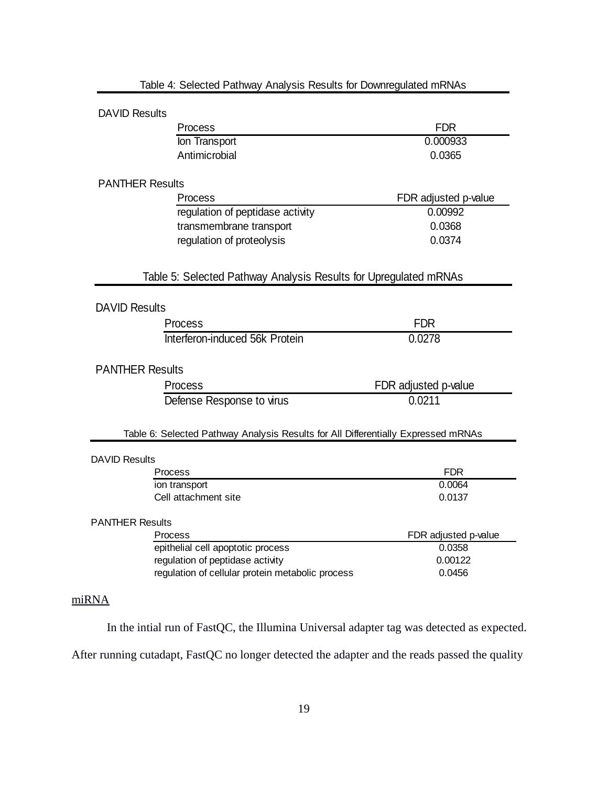|                        | Table 4: Selected Pathway Analysis Results for Downregulated mRNAs                |                      |
|------------------------|-----------------------------------------------------------------------------------|----------------------|
| <b>DAVID Results</b>   |                                                                                   |                      |
|                        | Process                                                                           | <b>FDR</b>           |
|                        | Ion Transport                                                                     | 0.000933             |
|                        | Antimicrobial                                                                     | 0.0365               |
| <b>PANTHER Results</b> |                                                                                   |                      |
|                        | Process                                                                           | FDR adjusted p-value |
|                        | regulation of peptidase activity                                                  | 0.00992              |
|                        | transmembrane transport                                                           | 0.0368               |
|                        | regulation of proteolysis                                                         | 0.0374               |
|                        | Table 5: Selected Pathway Analysis Results for Upregulated mRNAs                  |                      |
| <b>DAVID Results</b>   |                                                                                   |                      |
|                        | Process                                                                           | <b>FDR</b>           |
|                        | Interferon-induced 56k Protein                                                    | 0.0278               |
| <b>PANTHER Results</b> |                                                                                   |                      |
|                        | Process                                                                           | FDR adjusted p-value |
|                        | Defense Response to virus                                                         | 0.0211               |
|                        | Table 6: Selected Pathway Analysis Results for All Differentially Expressed mRNAs |                      |
| <b>DAVID Results</b>   |                                                                                   |                      |
|                        | Process                                                                           | <b>FDR</b>           |
|                        | ion transport                                                                     | 0.0064               |
|                        | Cell attachment site                                                              | 0.0137               |
| <b>PANTHER Results</b> |                                                                                   |                      |
|                        | Process                                                                           | FDR adjusted p-value |
|                        | epithelial cell apoptotic process                                                 | 0.0358               |
|                        | regulation of peptidase activity                                                  | 0.00122              |
|                        | regulation of cellular protein metabolic process                                  | 0.0456               |
|                        |                                                                                   |                      |

## miRNA

In the intial run of FastQC, the Illumina Universal adapter tag was detected as expected.

After running cutadapt, FastQC no longer detected the adapter and the reads passed the quality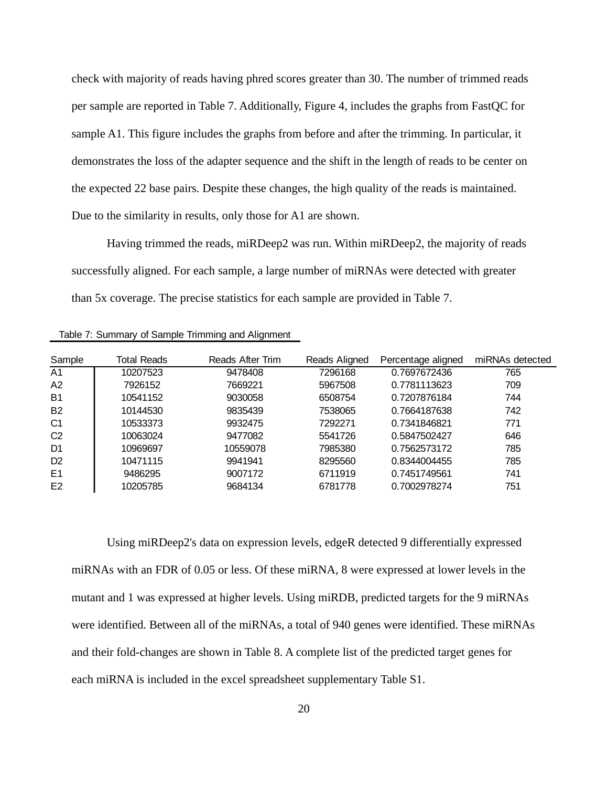check with majority of reads having phred scores greater than 30. The number of trimmed reads per sample are reported in Table 7. Additionally, Figure 4, includes the graphs from FastQC for sample A1. This figure includes the graphs from before and after the trimming. In particular, it demonstrates the loss of the adapter sequence and the shift in the length of reads to be center on the expected 22 base pairs. Despite these changes, the high quality of the reads is maintained. Due to the similarity in results, only those for A1 are shown.

Having trimmed the reads, miRDeep2 was run. Within miRDeep2, the majority of reads successfully aligned. For each sample, a large number of miRNAs were detected with greater than 5x coverage. The precise statistics for each sample are provided in Table 7.

| Table 7: Summary of Sample Trimming and Alignment |  |  |
|---------------------------------------------------|--|--|
|                                                   |  |  |

| Sample         | Total Reads | Reads After Trim | Reads Aligned | Percentage aligned | miRNAs detected |
|----------------|-------------|------------------|---------------|--------------------|-----------------|
| A1             | 10207523    | 9478408          | 7296168       | 0.7697672436       | 765             |
| A <sub>2</sub> | 7926152     | 7669221          | 5967508       | 0.7781113623       | 709             |
| <b>B1</b>      | 10541152    | 9030058          | 6508754       | 0.7207876184       | 744             |
| <b>B2</b>      | 10144530    | 9835439          | 7538065       | 0.7664187638       | 742             |
| C1             | 10533373    | 9932475          | 7292271       | 0.7341846821       | 771             |
| C <sub>2</sub> | 10063024    | 9477082          | 5541726       | 0.5847502427       | 646             |
| D1             | 10969697    | 10559078         | 7985380       | 0.7562573172       | 785             |
| D <sub>2</sub> | 10471115    | 9941941          | 8295560       | 0.8344004455       | 785             |
| E1             | 9486295     | 9007172          | 6711919       | 0.7451749561       | 741             |
| E2             | 10205785    | 9684134          | 6781778       | 0.7002978274       | 751             |

Using miRDeep2's data on expression levels, edgeR detected 9 differentially expressed miRNAs with an FDR of 0.05 or less. Of these miRNA, 8 were expressed at lower levels in the mutant and 1 was expressed at higher levels. Using miRDB, predicted targets for the 9 miRNAs were identified. Between all of the miRNAs, a total of 940 genes were identified. These miRNAs and their fold-changes are shown in Table 8. A complete list of the predicted target genes for each miRNA is included in the excel spreadsheet supplementary Table S1.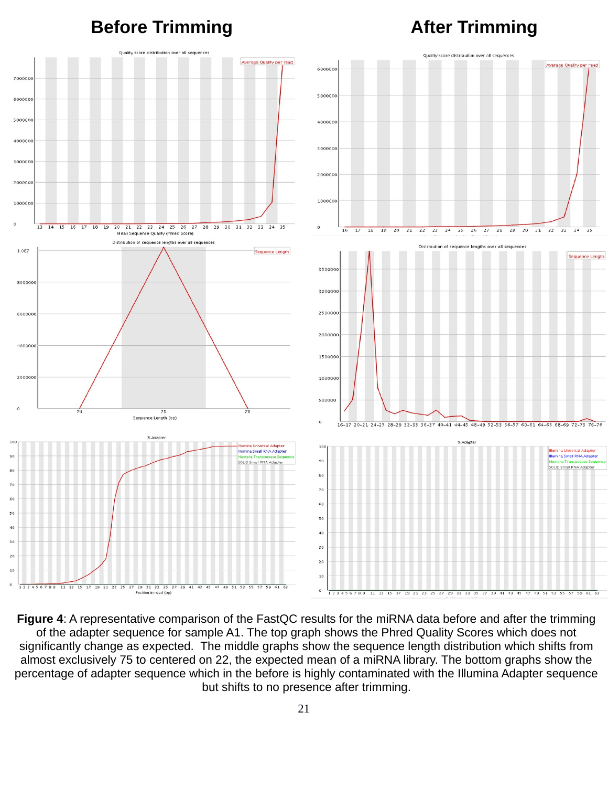## **Before Trimming Construction After Trimming**



**Figure 4**: A representative comparison of the FastQC results for the miRNA data before and after the trimming of the adapter sequence for sample A1. The top graph shows the Phred Quality Scores which does not significantly change as expected. The middle graphs show the sequence length distribution which shifts from almost exclusively 75 to centered on 22, the expected mean of a miRNA library. The bottom graphs show the percentage of adapter sequence which in the before is highly contaminated with the Illumina Adapter sequence but shifts to no presence after trimming.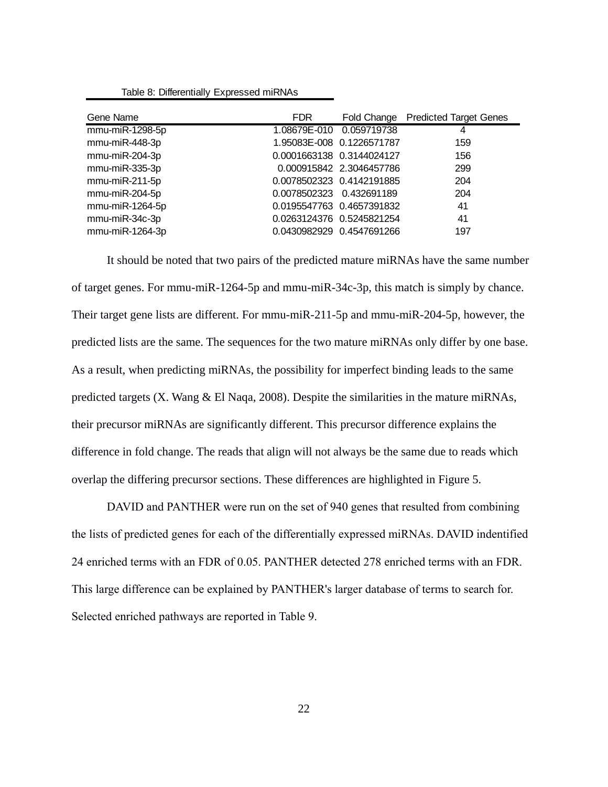|  | Table 8: Differentially Expressed miRNAs |  |  |
|--|------------------------------------------|--|--|
|--|------------------------------------------|--|--|

| Gene Name       | FDR.                       |                          | Fold Change Predicted Target Genes |
|-----------------|----------------------------|--------------------------|------------------------------------|
| mmu-miR-1298-5p | 1.08679E-010 0.059719738   |                          | 4                                  |
| mmu-miR-448-3p  | 1.95083E-008 0.1226571787  |                          | 159                                |
| mmu-miR-204-3p  | 0.0001663138  0.3144024127 |                          | 156                                |
| mmu-miR-335-3p  |                            | 0.000915842 2.3046457786 | 299                                |
| mmu-miR-211-5p  | 0.0078502323 0.4142191885  |                          | 204                                |
| mmu-miR-204-5p  | 0.0078502323 0.432691189   |                          | 204                                |
| mmu-miR-1264-5p | 0.0195547763 0.4657391832  |                          | 41                                 |
| mmu-miR-34c-3p  | 0.0263124376 0.5245821254  |                          | 41                                 |
| mmu-miR-1264-3p | 0.0430982929 0.4547691266  |                          | 197                                |

It should be noted that two pairs of the predicted mature miRNAs have the same number of target genes. For mmu-miR-1264-5p and mmu-miR-34c-3p, this match is simply by chance. Their target gene lists are different. For mmu-miR-211-5p and mmu-miR-204-5p, however, the predicted lists are the same. The sequences for the two mature miRNAs only differ by one base. As a result, when predicting miRNAs, the possibility for imperfect binding leads to the same predicted targets (X. Wang & El Naqa, 2008). Despite the similarities in the mature miRNAs, their precursor miRNAs are significantly different. This precursor difference explains the difference in fold change. The reads that align will not always be the same due to reads which overlap the differing precursor sections. These differences are highlighted in Figure 5.

DAVID and PANTHER were run on the set of 940 genes that resulted from combining the lists of predicted genes for each of the differentially expressed miRNAs. DAVID indentified 24 enriched terms with an FDR of 0.05. PANTHER detected 278 enriched terms with an FDR. This large difference can be explained by PANTHER's larger database of terms to search for. Selected enriched pathways are reported in Table 9.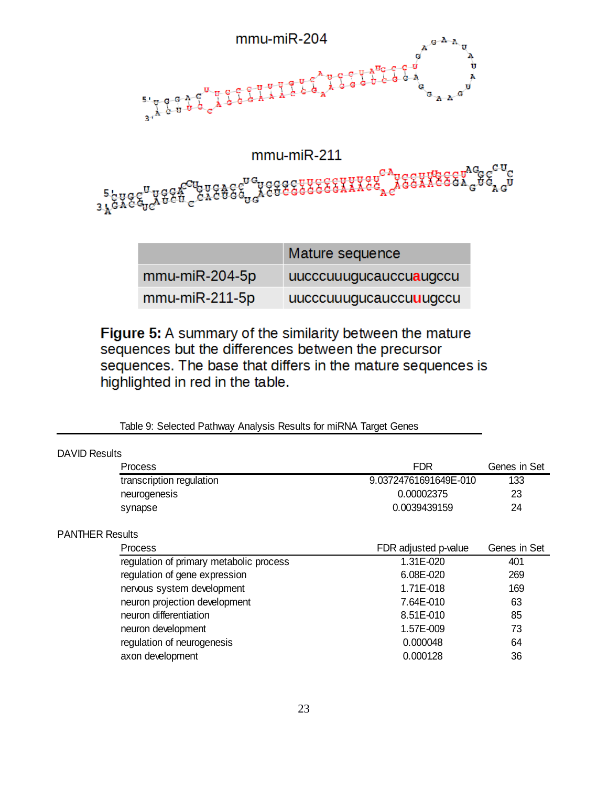

|                       | Mature sequence        |
|-----------------------|------------------------|
| $mmu$ -mi $R$ -204-5p | uucccuuugucauccuauqccu |
| $mmu$ -mi $R-211-5p$  | uucccuuugucauccuuuqccu |

Figure 5: A summary of the similarity between the mature sequences but the differences between the precursor sequences. The base that differs in the mature sequences is highlighted in red in the table.

| <b>DAVID Results</b>                    |                       |              |
|-----------------------------------------|-----------------------|--------------|
| Process                                 | <b>FDR</b>            | Genes in Set |
| transcription regulation                | 9.03724761691649E-010 | 133          |
| neurogenesis                            | 0.00002375            | 23           |
| synapse                                 | 0.0039439159          | 24           |
| <b>PANTHER Results</b>                  |                       |              |
| <b>Process</b>                          | FDR adjusted p-value  | Genes in Set |
| regulation of primary metabolic process | 1.31E-020             | 401          |
| regulation of gene expression           | 6.08E-020             | 269          |
| nervous system development              | 1.71E-018             | 169          |
| neuron projection development           | 7.64E-010             | 63           |
| neuron differentiation                  | 8.51E-010             | 85           |
| neuron development                      | 1.57E-009             | 73           |
| regulation of neurogenesis              | 0.000048              | 64           |
| axon development                        | 0.000128              | 36           |

Table 9: Selected Pathway Analysis Results for miRNA Target Genes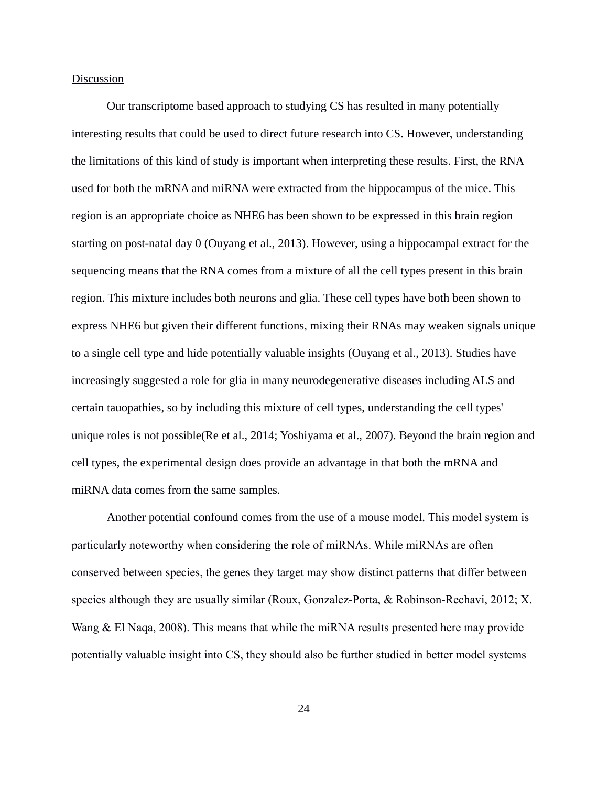## **Discussion**

Our transcriptome based approach to studying CS has resulted in many potentially interesting results that could be used to direct future research into CS. However, understanding the limitations of this kind of study is important when interpreting these results. First, the RNA used for both the mRNA and miRNA were extracted from the hippocampus of the mice. This region is an appropriate choice as NHE6 has been shown to be expressed in this brain region starting on post-natal day 0 (Ouyang et al., 2013). However, using a hippocampal extract for the sequencing means that the RNA comes from a mixture of all the cell types present in this brain region. This mixture includes both neurons and glia. These cell types have both been shown to express NHE6 but given their different functions, mixing their RNAs may weaken signals unique to a single cell type and hide potentially valuable insights (Ouyang et al., 2013). Studies have increasingly suggested a role for glia in many neurodegenerative diseases including ALS and certain tauopathies, so by including this mixture of cell types, understanding the cell types' unique roles is not possible(Re et al., 2014; Yoshiyama et al., 2007). Beyond the brain region and cell types, the experimental design does provide an advantage in that both the mRNA and miRNA data comes from the same samples.

Another potential confound comes from the use of a mouse model. This model system is particularly noteworthy when considering the role of miRNAs. While miRNAs are often conserved between species, the genes they target may show distinct patterns that differ between species although they are usually similar (Roux, Gonzalez-Porta, & Robinson-Rechavi, 2012; X. Wang & El Naqa, 2008). This means that while the miRNA results presented here may provide potentially valuable insight into CS, they should also be further studied in better model systems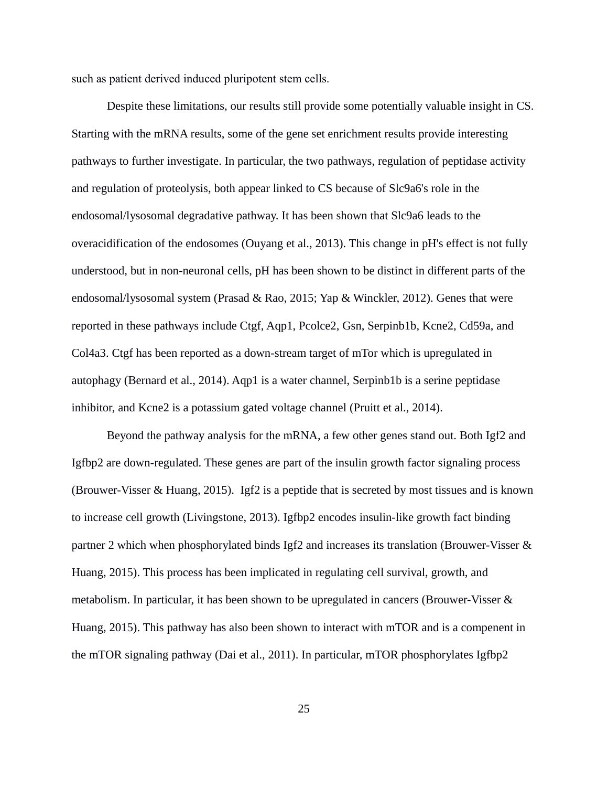such as patient derived induced pluripotent stem cells.

Despite these limitations, our results still provide some potentially valuable insight in CS. Starting with the mRNA results, some of the gene set enrichment results provide interesting pathways to further investigate. In particular, the two pathways, regulation of peptidase activity and regulation of proteolysis, both appear linked to CS because of Slc9a6's role in the endosomal/lysosomal degradative pathway. It has been shown that Slc9a6 leads to the overacidification of the endosomes (Ouyang et al., 2013). This change in pH's effect is not fully understood, but in non-neuronal cells, pH has been shown to be distinct in different parts of the endosomal/lysosomal system (Prasad & Rao, 2015; Yap & Winckler, 2012). Genes that were reported in these pathways include Ctgf, Aqp1, Pcolce2, Gsn, Serpinb1b, Kcne2, Cd59a, and Col4a3. Ctgf has been reported as a down-stream target of mTor which is upregulated in autophagy (Bernard et al., 2014). Aqp1 is a water channel, Serpinb1b is a serine peptidase inhibitor, and Kcne2 is a potassium gated voltage channel (Pruitt et al., 2014).

Beyond the pathway analysis for the mRNA, a few other genes stand out. Both Igf2 and Igfbp2 are down-regulated. These genes are part of the insulin growth factor signaling process (Brouwer-Visser & Huang, 2015). Igf2 is a peptide that is secreted by most tissues and is known to increase cell growth (Livingstone, 2013). Igfbp2 encodes insulin-like growth fact binding partner 2 which when phosphorylated binds Igf2 and increases its translation (Brouwer-Visser & Huang, 2015). This process has been implicated in regulating cell survival, growth, and metabolism. In particular, it has been shown to be upregulated in cancers (Brouwer-Visser & Huang, 2015). This pathway has also been shown to interact with mTOR and is a compenent in the mTOR signaling pathway (Dai et al., 2011). In particular, mTOR phosphorylates Igfbp2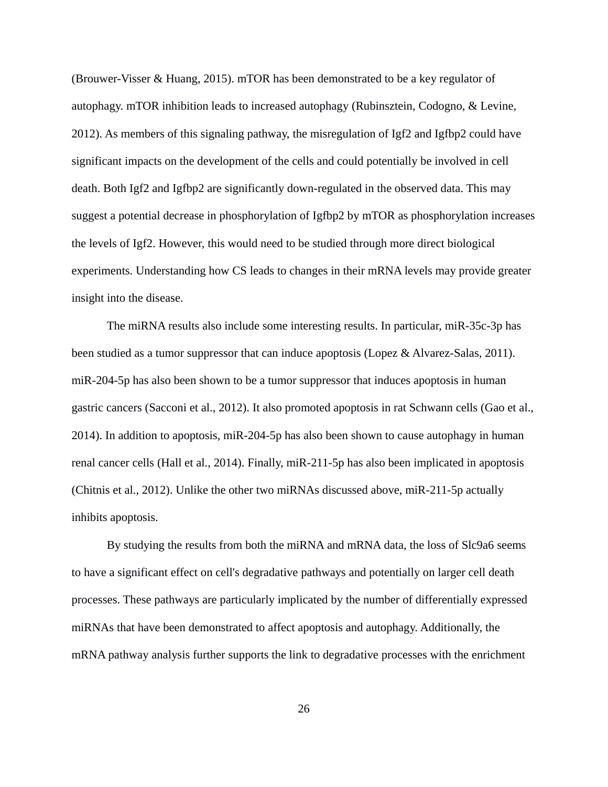(Brouwer-Visser & Huang, 2015). mTOR has been demonstrated to be a key regulator of autophagy. mTOR inhibition leads to increased autophagy (Rubinsztein, Codogno, & Levine, 2012). As members of this signaling pathway, the misregulation of Igf2 and Igfbp2 could have significant impacts on the development of the cells and could potentially be involved in cell death. Both Igf2 and Igfbp2 are significantly down-regulated in the observed data. This may suggest a potential decrease in phosphorylation of Igfbp2 by mTOR as phosphorylation increases the levels of Igf2. However, this would need to be studied through more direct biological experiments. Understanding how CS leads to changes in their mRNA levels may provide greater insight into the disease.

The miRNA results also include some interesting results. In particular, miR-35c-3p has been studied as a tumor suppressor that can induce apoptosis (Lopez & Alvarez-Salas, 2011). miR-204-5p has also been shown to be a tumor suppressor that induces apoptosis in human gastric cancers (Sacconi et al., 2012). It also promoted apoptosis in rat Schwann cells (Gao et al., 2014). In addition to apoptosis, miR-204-5p has also been shown to cause autophagy in human renal cancer cells (Hall et al., 2014). Finally, miR-211-5p has also been implicated in apoptosis (Chitnis et al., 2012). Unlike the other two miRNAs discussed above, miR-211-5p actually inhibits apoptosis.

By studying the results from both the miRNA and mRNA data, the loss of Slc9a6 seems to have a significant effect on cell's degradative pathways and potentially on larger cell death processes. These pathways are particularly implicated by the number of differentially expressed miRNAs that have been demonstrated to affect apoptosis and autophagy. Additionally, the mRNA pathway analysis further supports the link to degradative processes with the enrichment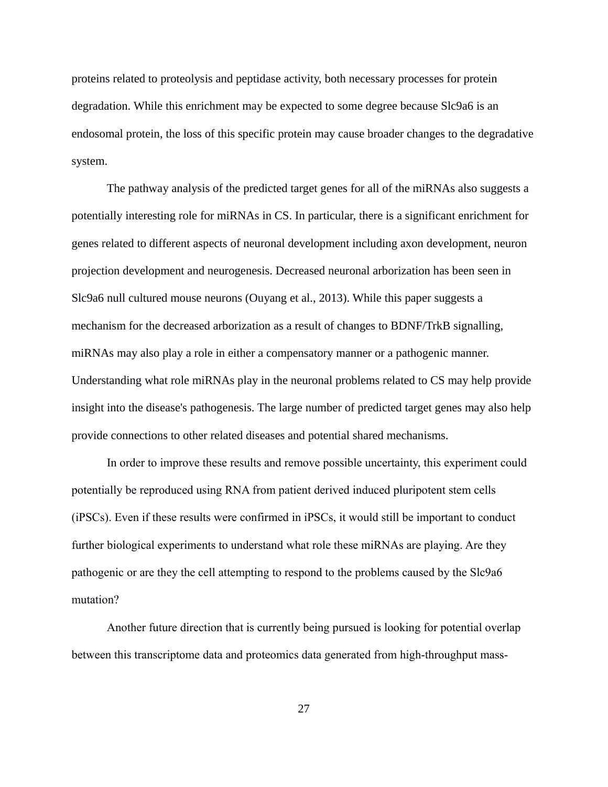proteins related to proteolysis and peptidase activity, both necessary processes for protein degradation. While this enrichment may be expected to some degree because Slc9a6 is an endosomal protein, the loss of this specific protein may cause broader changes to the degradative system.

The pathway analysis of the predicted target genes for all of the miRNAs also suggests a potentially interesting role for miRNAs in CS. In particular, there is a significant enrichment for genes related to different aspects of neuronal development including axon development, neuron projection development and neurogenesis. Decreased neuronal arborization has been seen in Slc9a6 null cultured mouse neurons (Ouyang et al., 2013). While this paper suggests a mechanism for the decreased arborization as a result of changes to BDNF/TrkB signalling, miRNAs may also play a role in either a compensatory manner or a pathogenic manner. Understanding what role miRNAs play in the neuronal problems related to CS may help provide insight into the disease's pathogenesis. The large number of predicted target genes may also help provide connections to other related diseases and potential shared mechanisms.

In order to improve these results and remove possible uncertainty, this experiment could potentially be reproduced using RNA from patient derived induced pluripotent stem cells (iPSCs). Even if these results were confirmed in iPSCs, it would still be important to conduct further biological experiments to understand what role these miRNAs are playing. Are they pathogenic or are they the cell attempting to respond to the problems caused by the Slc9a6 mutation?

Another future direction that is currently being pursued is looking for potential overlap between this transcriptome data and proteomics data generated from high-throughput mass-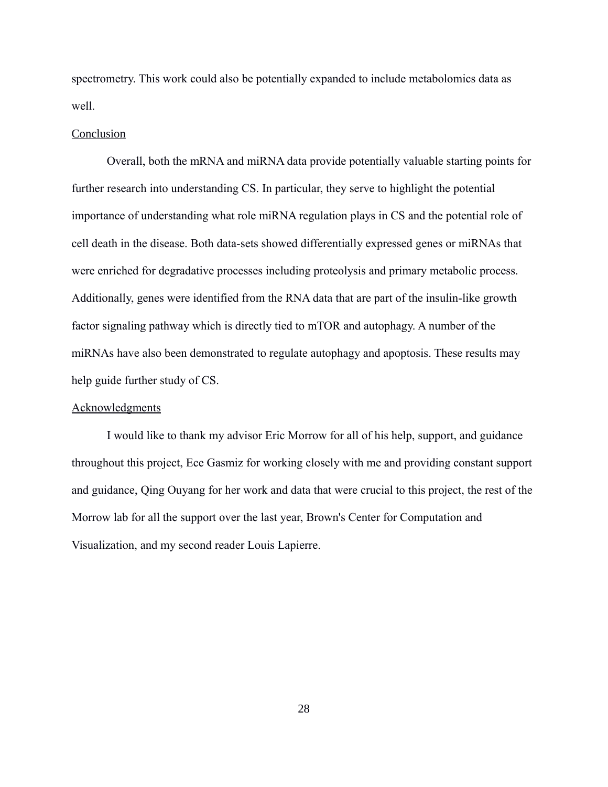spectrometry. This work could also be potentially expanded to include metabolomics data as well.

## **Conclusion**

Overall, both the mRNA and miRNA data provide potentially valuable starting points for further research into understanding CS. In particular, they serve to highlight the potential importance of understanding what role miRNA regulation plays in CS and the potential role of cell death in the disease. Both data-sets showed differentially expressed genes or miRNAs that were enriched for degradative processes including proteolysis and primary metabolic process. Additionally, genes were identified from the RNA data that are part of the insulin-like growth factor signaling pathway which is directly tied to mTOR and autophagy. A number of the miRNAs have also been demonstrated to regulate autophagy and apoptosis. These results may help guide further study of CS.

## **Acknowledgments**

I would like to thank my advisor Eric Morrow for all of his help, support, and guidance throughout this project, Ece Gasmiz for working closely with me and providing constant support and guidance, Qing Ouyang for her work and data that were crucial to this project, the rest of the Morrow lab for all the support over the last year, Brown's Center for Computation and Visualization, and my second reader Louis Lapierre.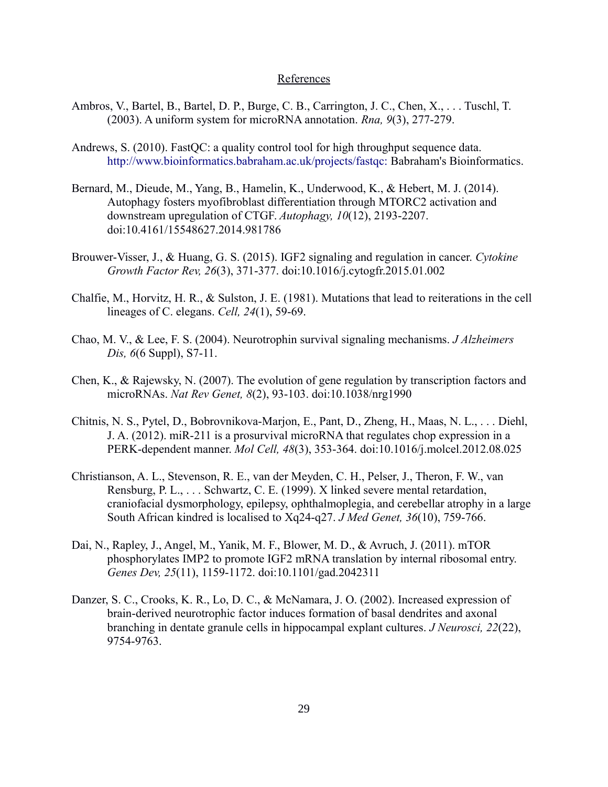## References

- Ambros, V., Bartel, B., Bartel, D. P., Burge, C. B., Carrington, J. C., Chen, X., . . . Tuschl, T. (2003). A uniform system for microRNA annotation. *Rna, 9*(3), 277-279.
- Andrews, S. (2010). FastQC: a quality control tool for high throughput sequence data. <http://www.bioinformatics.babraham.ac.uk/projects/fastqc:>Babraham's Bioinformatics.
- Bernard, M., Dieude, M., Yang, B., Hamelin, K., Underwood, K., & Hebert, M. J. (2014). Autophagy fosters myofibroblast differentiation through MTORC2 activation and downstream upregulation of CTGF. *Autophagy, 10*(12), 2193-2207. doi:10.4161/15548627.2014.981786
- Brouwer-Visser, J., & Huang, G. S. (2015). IGF2 signaling and regulation in cancer. *Cytokine Growth Factor Rev, 26*(3), 371-377. doi:10.1016/j.cytogfr.2015.01.002
- Chalfie, M., Horvitz, H. R., & Sulston, J. E. (1981). Mutations that lead to reiterations in the cell lineages of C. elegans. *Cell, 24*(1), 59-69.
- Chao, M. V., & Lee, F. S. (2004). Neurotrophin survival signaling mechanisms. *J Alzheimers Dis, 6*(6 Suppl), S7-11.
- Chen, K., & Rajewsky, N. (2007). The evolution of gene regulation by transcription factors and microRNAs. *Nat Rev Genet, 8*(2), 93-103. doi:10.1038/nrg1990
- Chitnis, N. S., Pytel, D., Bobrovnikova-Marjon, E., Pant, D., Zheng, H., Maas, N. L., . . . Diehl, J. A. (2012). miR-211 is a prosurvival microRNA that regulates chop expression in a PERK-dependent manner. *Mol Cell, 48*(3), 353-364. doi:10.1016/j.molcel.2012.08.025
- Christianson, A. L., Stevenson, R. E., van der Meyden, C. H., Pelser, J., Theron, F. W., van Rensburg, P. L., . . . Schwartz, C. E. (1999). X linked severe mental retardation, craniofacial dysmorphology, epilepsy, ophthalmoplegia, and cerebellar atrophy in a large South African kindred is localised to Xq24-q27. *J Med Genet, 36*(10), 759-766.
- Dai, N., Rapley, J., Angel, M., Yanik, M. F., Blower, M. D., & Avruch, J. (2011). mTOR phosphorylates IMP2 to promote IGF2 mRNA translation by internal ribosomal entry. *Genes Dev, 25*(11), 1159-1172. doi:10.1101/gad.2042311
- Danzer, S. C., Crooks, K. R., Lo, D. C., & McNamara, J. O. (2002). Increased expression of brain-derived neurotrophic factor induces formation of basal dendrites and axonal branching in dentate granule cells in hippocampal explant cultures. *J Neurosci, 22*(22), 9754-9763.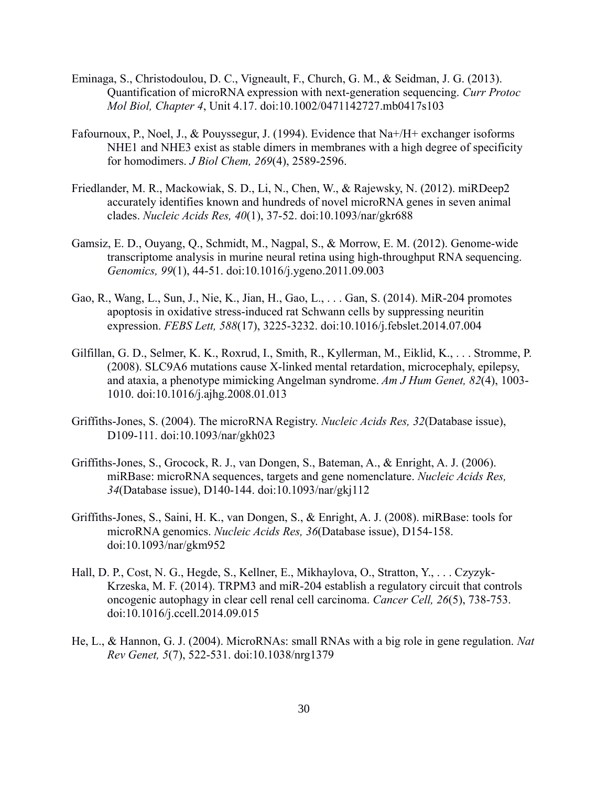- Eminaga, S., Christodoulou, D. C., Vigneault, F., Church, G. M., & Seidman, J. G. (2013). Quantification of microRNA expression with next-generation sequencing. *Curr Protoc Mol Biol, Chapter 4*, Unit 4.17. doi:10.1002/0471142727.mb0417s103
- Fafournoux, P., Noel, J., & Pouyssegur, J. (1994). Evidence that Na+/H+ exchanger isoforms NHE1 and NHE3 exist as stable dimers in membranes with a high degree of specificity for homodimers. *J Biol Chem, 269*(4), 2589-2596.
- Friedlander, M. R., Mackowiak, S. D., Li, N., Chen, W., & Rajewsky, N. (2012). miRDeep2 accurately identifies known and hundreds of novel microRNA genes in seven animal clades. *Nucleic Acids Res, 40*(1), 37-52. doi:10.1093/nar/gkr688
- Gamsiz, E. D., Ouyang, Q., Schmidt, M., Nagpal, S., & Morrow, E. M. (2012). Genome-wide transcriptome analysis in murine neural retina using high-throughput RNA sequencing. *Genomics, 99*(1), 44-51. doi:10.1016/j.ygeno.2011.09.003
- Gao, R., Wang, L., Sun, J., Nie, K., Jian, H., Gao, L., . . . Gan, S. (2014). MiR-204 promotes apoptosis in oxidative stress-induced rat Schwann cells by suppressing neuritin expression. *FEBS Lett, 588*(17), 3225-3232. doi:10.1016/j.febslet.2014.07.004
- Gilfillan, G. D., Selmer, K. K., Roxrud, I., Smith, R., Kyllerman, M., Eiklid, K., . . . Stromme, P. (2008). SLC9A6 mutations cause X-linked mental retardation, microcephaly, epilepsy, and ataxia, a phenotype mimicking Angelman syndrome. *Am J Hum Genet, 82*(4), 1003- 1010. doi:10.1016/j.ajhg.2008.01.013
- Griffiths-Jones, S. (2004). The microRNA Registry. *Nucleic Acids Res, 32*(Database issue), D109-111. doi:10.1093/nar/gkh023
- Griffiths-Jones, S., Grocock, R. J., van Dongen, S., Bateman, A., & Enright, A. J. (2006). miRBase: microRNA sequences, targets and gene nomenclature. *Nucleic Acids Res, 34*(Database issue), D140-144. doi:10.1093/nar/gkj112
- Griffiths-Jones, S., Saini, H. K., van Dongen, S., & Enright, A. J. (2008). miRBase: tools for microRNA genomics. *Nucleic Acids Res, 36*(Database issue), D154-158. doi:10.1093/nar/gkm952
- Hall, D. P., Cost, N. G., Hegde, S., Kellner, E., Mikhaylova, O., Stratton, Y., . . . Czyzyk-Krzeska, M. F. (2014). TRPM3 and miR-204 establish a regulatory circuit that controls oncogenic autophagy in clear cell renal cell carcinoma. *Cancer Cell, 26*(5), 738-753. doi:10.1016/j.ccell.2014.09.015
- He, L., & Hannon, G. J. (2004). MicroRNAs: small RNAs with a big role in gene regulation. *Nat Rev Genet, 5*(7), 522-531. doi:10.1038/nrg1379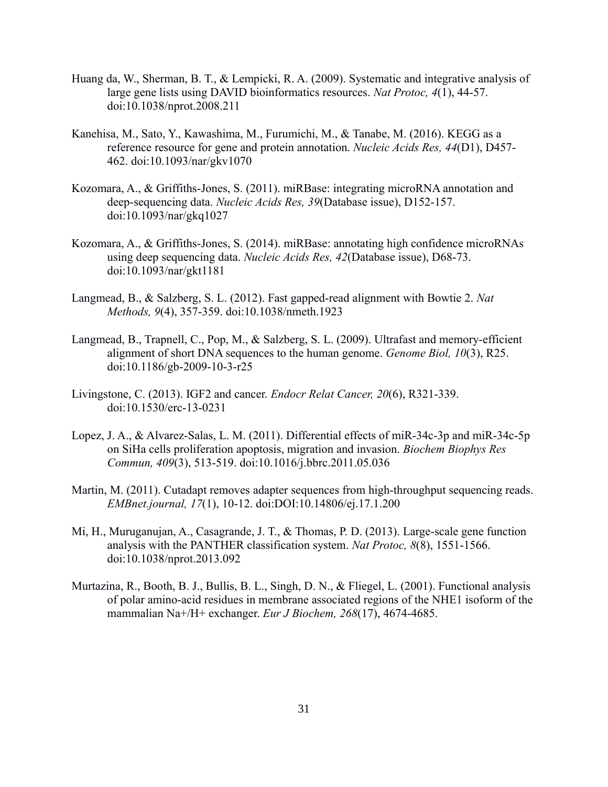- Huang da, W., Sherman, B. T., & Lempicki, R. A. (2009). Systematic and integrative analysis of large gene lists using DAVID bioinformatics resources. *Nat Protoc, 4*(1), 44-57. doi:10.1038/nprot.2008.211
- Kanehisa, M., Sato, Y., Kawashima, M., Furumichi, M., & Tanabe, M. (2016). KEGG as a reference resource for gene and protein annotation. *Nucleic Acids Res, 44*(D1), D457- 462. doi:10.1093/nar/gkv1070
- Kozomara, A., & Griffiths-Jones, S. (2011). miRBase: integrating microRNA annotation and deep-sequencing data. *Nucleic Acids Res, 39*(Database issue), D152-157. doi:10.1093/nar/gkq1027
- Kozomara, A., & Griffiths-Jones, S. (2014). miRBase: annotating high confidence microRNAs using deep sequencing data. *Nucleic Acids Res, 42*(Database issue), D68-73. doi:10.1093/nar/gkt1181
- Langmead, B., & Salzberg, S. L. (2012). Fast gapped-read alignment with Bowtie 2. *Nat Methods, 9*(4), 357-359. doi:10.1038/nmeth.1923
- Langmead, B., Trapnell, C., Pop, M., & Salzberg, S. L. (2009). Ultrafast and memory-efficient alignment of short DNA sequences to the human genome. *Genome Biol, 10*(3), R25. doi:10.1186/gb-2009-10-3-r25
- Livingstone, C. (2013). IGF2 and cancer. *Endocr Relat Cancer, 20*(6), R321-339. doi:10.1530/erc-13-0231
- Lopez, J. A., & Alvarez-Salas, L. M. (2011). Differential effects of miR-34c-3p and miR-34c-5p on SiHa cells proliferation apoptosis, migration and invasion. *Biochem Biophys Res Commun, 409*(3), 513-519. doi:10.1016/j.bbrc.2011.05.036
- Martin, M. (2011). Cutadapt removes adapter sequences from high-throughput sequencing reads. *EMBnet.journal, 17*(1), 10-12. doi:DOI:10.14806/ej.17.1.200
- Mi, H., Muruganujan, A., Casagrande, J. T., & Thomas, P. D. (2013). Large-scale gene function analysis with the PANTHER classification system. *Nat Protoc, 8*(8), 1551-1566. doi:10.1038/nprot.2013.092
- Murtazina, R., Booth, B. J., Bullis, B. L., Singh, D. N., & Fliegel, L. (2001). Functional analysis of polar amino-acid residues in membrane associated regions of the NHE1 isoform of the mammalian Na+/H+ exchanger. *Eur J Biochem, 268*(17), 4674-4685.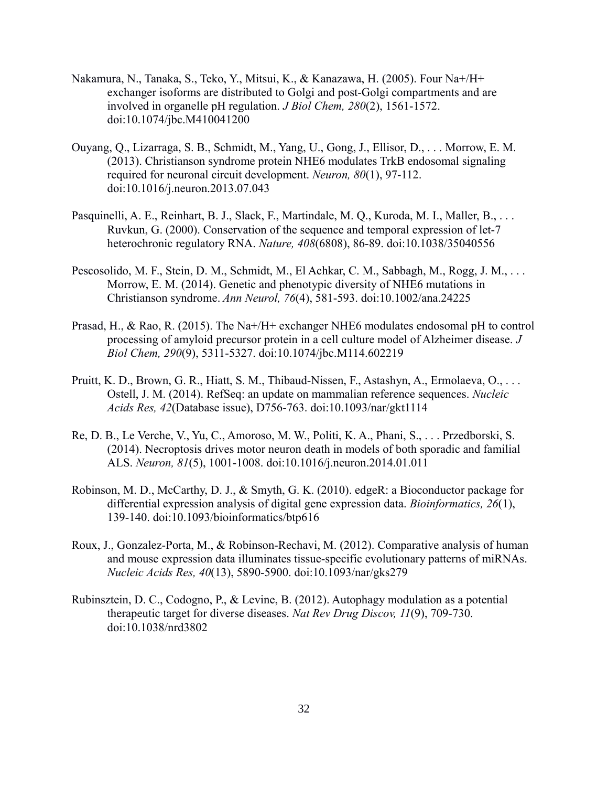- Nakamura, N., Tanaka, S., Teko, Y., Mitsui, K., & Kanazawa, H. (2005). Four Na+/H+ exchanger isoforms are distributed to Golgi and post-Golgi compartments and are involved in organelle pH regulation. *J Biol Chem, 280*(2), 1561-1572. doi:10.1074/jbc.M410041200
- Ouyang, Q., Lizarraga, S. B., Schmidt, M., Yang, U., Gong, J., Ellisor, D., . . . Morrow, E. M. (2013). Christianson syndrome protein NHE6 modulates TrkB endosomal signaling required for neuronal circuit development. *Neuron, 80*(1), 97-112. doi:10.1016/j.neuron.2013.07.043
- Pasquinelli, A. E., Reinhart, B. J., Slack, F., Martindale, M. Q., Kuroda, M. I., Maller, B., . . . Ruvkun, G. (2000). Conservation of the sequence and temporal expression of let-7 heterochronic regulatory RNA. *Nature, 408*(6808), 86-89. doi:10.1038/35040556
- Pescosolido, M. F., Stein, D. M., Schmidt, M., El Achkar, C. M., Sabbagh, M., Rogg, J. M., . . . Morrow, E. M. (2014). Genetic and phenotypic diversity of NHE6 mutations in Christianson syndrome. *Ann Neurol, 76*(4), 581-593. doi:10.1002/ana.24225
- Prasad, H., & Rao, R. (2015). The Na+/H+ exchanger NHE6 modulates endosomal pH to control processing of amyloid precursor protein in a cell culture model of Alzheimer disease. *J Biol Chem, 290*(9), 5311-5327. doi:10.1074/jbc.M114.602219
- Pruitt, K. D., Brown, G. R., Hiatt, S. M., Thibaud-Nissen, F., Astashyn, A., Ermolaeva, O., . . . Ostell, J. M. (2014). RefSeq: an update on mammalian reference sequences. *Nucleic Acids Res, 42*(Database issue), D756-763. doi:10.1093/nar/gkt1114
- Re, D. B., Le Verche, V., Yu, C., Amoroso, M. W., Politi, K. A., Phani, S., . . . Przedborski, S. (2014). Necroptosis drives motor neuron death in models of both sporadic and familial ALS. *Neuron, 81*(5), 1001-1008. doi:10.1016/j.neuron.2014.01.011
- Robinson, M. D., McCarthy, D. J., & Smyth, G. K. (2010). edgeR: a Bioconductor package for differential expression analysis of digital gene expression data. *Bioinformatics, 26*(1), 139-140. doi:10.1093/bioinformatics/btp616
- Roux, J., Gonzalez-Porta, M., & Robinson-Rechavi, M. (2012). Comparative analysis of human and mouse expression data illuminates tissue-specific evolutionary patterns of miRNAs. *Nucleic Acids Res, 40*(13), 5890-5900. doi:10.1093/nar/gks279
- Rubinsztein, D. C., Codogno, P., & Levine, B. (2012). Autophagy modulation as a potential therapeutic target for diverse diseases. *Nat Rev Drug Discov, 11*(9), 709-730. doi:10.1038/nrd3802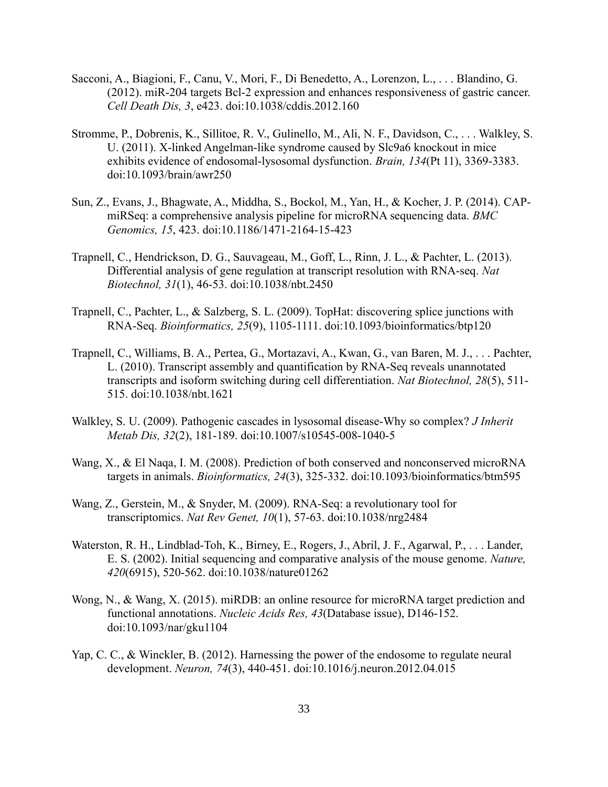- Sacconi, A., Biagioni, F., Canu, V., Mori, F., Di Benedetto, A., Lorenzon, L., . . . Blandino, G. (2012). miR-204 targets Bcl-2 expression and enhances responsiveness of gastric cancer. *Cell Death Dis, 3*, e423. doi:10.1038/cddis.2012.160
- Stromme, P., Dobrenis, K., Sillitoe, R. V., Gulinello, M., Ali, N. F., Davidson, C., . . . Walkley, S. U. (2011). X-linked Angelman-like syndrome caused by Slc9a6 knockout in mice exhibits evidence of endosomal-lysosomal dysfunction. *Brain, 134*(Pt 11), 3369-3383. doi:10.1093/brain/awr250
- Sun, Z., Evans, J., Bhagwate, A., Middha, S., Bockol, M., Yan, H., & Kocher, J. P. (2014). CAPmiRSeq: a comprehensive analysis pipeline for microRNA sequencing data. *BMC Genomics, 15*, 423. doi:10.1186/1471-2164-15-423
- Trapnell, C., Hendrickson, D. G., Sauvageau, M., Goff, L., Rinn, J. L., & Pachter, L. (2013). Differential analysis of gene regulation at transcript resolution with RNA-seq. *Nat Biotechnol, 31*(1), 46-53. doi:10.1038/nbt.2450
- Trapnell, C., Pachter, L., & Salzberg, S. L. (2009). TopHat: discovering splice junctions with RNA-Seq. *Bioinformatics, 25*(9), 1105-1111. doi:10.1093/bioinformatics/btp120
- Trapnell, C., Williams, B. A., Pertea, G., Mortazavi, A., Kwan, G., van Baren, M. J., . . . Pachter, L. (2010). Transcript assembly and quantification by RNA-Seq reveals unannotated transcripts and isoform switching during cell differentiation. *Nat Biotechnol, 28*(5), 511- 515. doi:10.1038/nbt.1621
- Walkley, S. U. (2009). Pathogenic cascades in lysosomal disease-Why so complex? *J Inherit Metab Dis, 32*(2), 181-189. doi:10.1007/s10545-008-1040-5
- Wang, X., & El Naqa, I. M. (2008). Prediction of both conserved and nonconserved microRNA targets in animals. *Bioinformatics, 24*(3), 325-332. doi:10.1093/bioinformatics/btm595
- Wang, Z., Gerstein, M., & Snyder, M. (2009). RNA-Seq: a revolutionary tool for transcriptomics. *Nat Rev Genet, 10*(1), 57-63. doi:10.1038/nrg2484
- Waterston, R. H., Lindblad-Toh, K., Birney, E., Rogers, J., Abril, J. F., Agarwal, P., . . . Lander, E. S. (2002). Initial sequencing and comparative analysis of the mouse genome. *Nature, 420*(6915), 520-562. doi:10.1038/nature01262
- Wong, N., & Wang, X. (2015). miRDB: an online resource for microRNA target prediction and functional annotations. *Nucleic Acids Res, 43*(Database issue), D146-152. doi:10.1093/nar/gku1104
- Yap, C. C., & Winckler, B. (2012). Harnessing the power of the endosome to regulate neural development. *Neuron, 74*(3), 440-451. doi:10.1016/j.neuron.2012.04.015